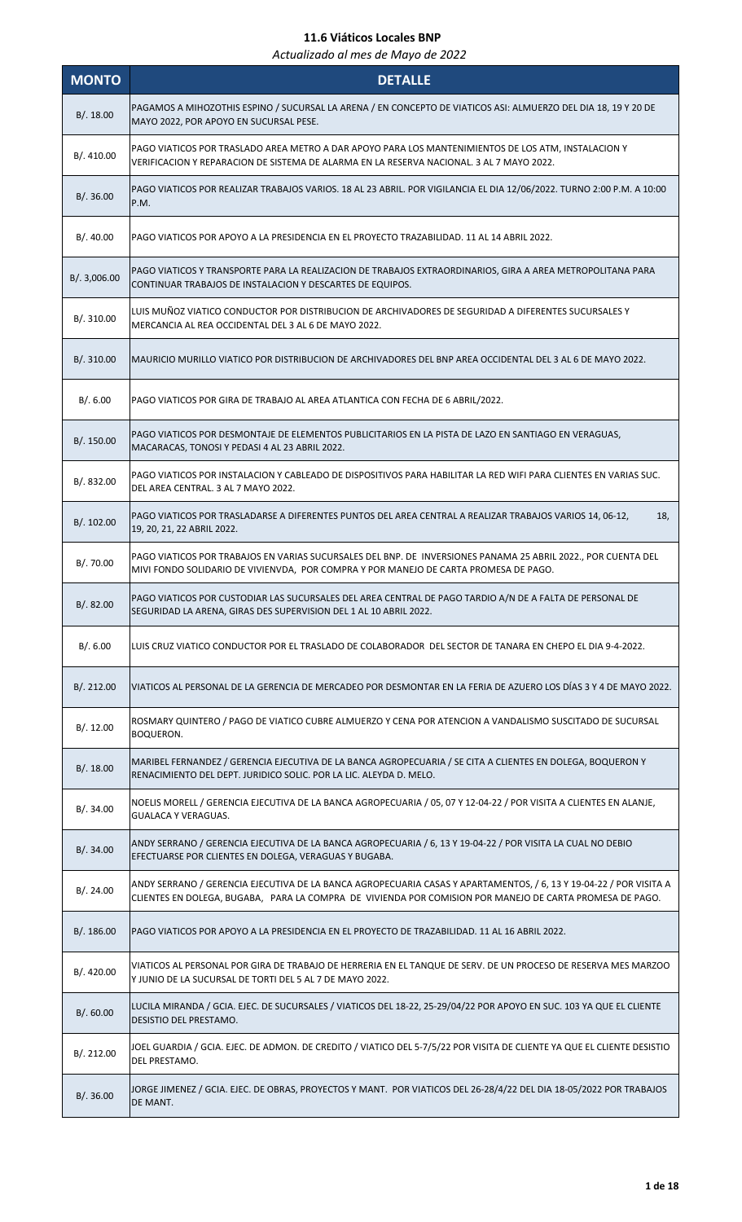| <b>MONTO</b> | <b>DETALLE</b>                                                                                                                                                                                                                 |
|--------------|--------------------------------------------------------------------------------------------------------------------------------------------------------------------------------------------------------------------------------|
| B/.18.00     | PAGAMOS A MIHOZOTHIS ESPINO / SUCURSAL LA ARENA / EN CONCEPTO DE VIATICOS ASI: ALMUERZO DEL DIA 18, 19 Y 20 DE<br>MAYO 2022, POR APOYO EN SUCURSAL PESE.                                                                       |
| B/. 410.00   | PAGO VIATICOS POR TRASLADO AREA METRO A DAR APOYO PARA LOS MANTENIMIENTOS DE LOS ATM, INSTALACION Y<br>VERIFICACION Y REPARACION DE SISTEMA DE ALARMA EN LA RESERVA NACIONAL. 3 AL 7 MAYO 2022.                                |
| B/.36.00     | PAGO VIATICOS POR REALIZAR TRABAJOS VARIOS. 18 AL 23 ABRIL. POR VIGILANCIA EL DIA 12/06/2022. TURNO 2:00 P.M. A 10:00<br>P.M.                                                                                                  |
| B/.40.00     | PAGO VIATICOS POR APOYO A LA PRESIDENCIA EN EL PROYECTO TRAZABILIDAD. 11 AL 14 ABRIL 2022.                                                                                                                                     |
| B/. 3,006.00 | PAGO VIATICOS Y TRANSPORTE PARA LA REALIZACION DE TRABAJOS EXTRAORDINARIOS, GIRA A AREA METROPOLITANA PARA<br>CONTINUAR TRABAJOS DE INSTALACION Y DESCARTES DE EQUIPOS.                                                        |
| B/.310.00    | LUIS MUÑOZ VIATICO CONDUCTOR POR DISTRIBUCION DE ARCHIVADORES DE SEGURIDAD A DIFERENTES SUCURSALES Y<br>MERCANCIA AL REA OCCIDENTAL DEL 3 AL 6 DE MAYO 2022.                                                                   |
| B/. 310.00   | MAURICIO MURILLO VIATICO POR DISTRIBUCION DE ARCHIVADORES DEL BNP AREA OCCIDENTAL DEL 3 AL 6 DE MAYO 2022.                                                                                                                     |
| B/.6.00      | PAGO VIATICOS POR GIRA DE TRABAJO AL AREA ATLANTICA CON FECHA DE 6 ABRIL/2022.                                                                                                                                                 |
| B/. 150.00   | PAGO VIATICOS POR DESMONTAJE DE ELEMENTOS PUBLICITARIOS EN LA PISTA DE LAZO EN SANTIAGO EN VERAGUAS,<br>MACARACAS, TONOSI Y PEDASI 4 AL 23 ABRIL 2022.                                                                         |
| B/. 832.00   | PAGO VIATICOS POR INSTALACION Y CABLEADO DE DISPOSITIVOS PARA HABILITAR LA RED WIFI PARA CLIENTES EN VARIAS SUC.<br>DEL AREA CENTRAL. 3 AL 7 MAYO 2022.                                                                        |
| B/.102.00    | 18,<br>PAGO VIATICOS POR TRASLADARSE A DIFERENTES PUNTOS DEL AREA CENTRAL A REALIZAR TRABAJOS VARIOS 14, 06-12,<br>19, 20, 21, 22 ABRIL 2022.                                                                                  |
| B/. 70.00    | PAGO VIATICOS POR TRABAJOS EN VARIAS SUCURSALES DEL BNP. DE INVERSIONES PANAMA 25 ABRIL 2022., POR CUENTA DEL<br>MIVI FONDO SOLIDARIO DE VIVIENVDA, POR COMPRA Y POR MANEJO DE CARTA PROMESA DE PAGO.                          |
| B/.82.00     | PAGO VIATICOS POR CUSTODIAR LAS SUCURSALES DEL AREA CENTRAL DE PAGO TARDIO A/N DE A FALTA DE PERSONAL DE<br>SEGURIDAD LA ARENA, GIRAS DES SUPERVISION DEL 1 AL 10 ABRIL 2022.                                                  |
| B/.6.00      | LUIS CRUZ VIATICO CONDUCTOR POR EL TRASLADO DE COLABORADOR DEL SECTOR DE TANARA EN CHEPO EL DIA 9-4-2022.                                                                                                                      |
| B/.212.00    | VIATICOS AL PERSONAL DE LA GERENCIA DE MERCADEO POR DESMONTAR EN LA FERIA DE AZUERO LOS DÍAS 3 Y 4 DE MAYO 2022.                                                                                                               |
| B/.12.00     | ROSMARY QUINTERO / PAGO DE VIATICO CUBRE ALMUERZO Y CENA POR ATENCION A VANDALISMO SUSCITADO DE SUCURSAL<br><b>BOQUERON.</b>                                                                                                   |
| B/.18.00     | MARIBEL FERNANDEZ / GERENCIA EJECUTIVA DE LA BANCA AGROPECUARIA / SE CITA A CLIENTES EN DOLEGA, BOQUERON Y<br>RENACIMIENTO DEL DEPT. JURIDICO SOLIC. POR LA LIC. ALEYDA D. MELO.                                               |
| B/.34.00     | NOELIS MORELL / GERENCIA EJECUTIVA DE LA BANCA AGROPECUARIA / 05, 07 Y 12-04-22 / POR VISITA A CLIENTES EN ALANJE,<br><b>GUALACA Y VERAGUAS.</b>                                                                               |
| B/.34.00     | ANDY SERRANO / GERENCIA EJECUTIVA DE LA BANCA AGROPECUARIA / 6, 13 Y 19-04-22 / POR VISITA LA CUAL NO DEBIO<br>EFECTUARSE POR CLIENTES EN DOLEGA, VERAGUAS Y BUGABA.                                                           |
| B/.24.00     | ANDY SERRANO / GERENCIA EJECUTIVA DE LA BANCA AGROPECUARIA CASAS Y APARTAMENTOS, / 6, 13 Y 19-04-22 / POR VISITA A<br>CLIENTES EN DOLEGA, BUGABA, PARA LA COMPRA DE VIVIENDA POR COMISION POR MANEJO DE CARTA PROMESA DE PAGO. |
| B/.186.00    | PAGO VIATICOS POR APOYO A LA PRESIDENCIA EN EL PROYECTO DE TRAZABILIDAD. 11 AL 16 ABRIL 2022.                                                                                                                                  |
| B/. 420.00   | VIATICOS AL PERSONAL POR GIRA DE TRABAJO DE HERRERIA EN EL TANQUE DE SERV. DE UN PROCESO DE RESERVA MES MARZOO<br>Y JUNIO DE LA SUCURSAL DE TORTI DEL 5 AL 7 DE MAYO 2022.                                                     |
| B/0.60.00    | LUCILA MIRANDA / GCIA. EJEC. DE SUCURSALES / VIATICOS DEL 18-22, 25-29/04/22 POR APOYO EN SUC. 103 YA QUE EL CLIENTE<br>DESISTIO DEL PRESTAMO.                                                                                 |
| B/.212.00    | JOEL GUARDIA / GCIA. EJEC. DE ADMON. DE CREDITO / VIATICO DEL 5-7/5/22 POR VISITA DE CLIENTE YA QUE EL CLIENTE DESISTIO<br>DEL PRESTAMO.                                                                                       |
| B/.36.00     | JORGE JIMENEZ / GCIA. EJEC. DE OBRAS, PROYECTOS Y MANT. POR VIATICOS DEL 26-28/4/22 DEL DIA 18-05/2022 POR TRABAJOS<br>DE MANT.                                                                                                |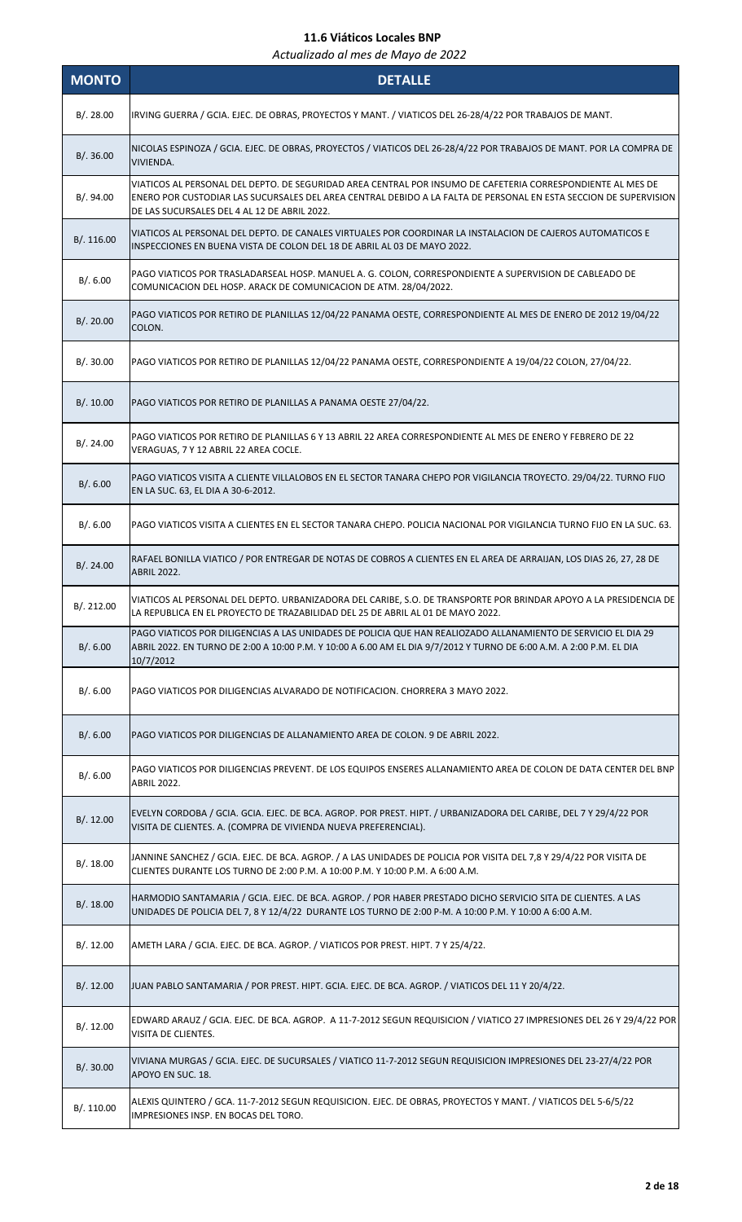| <b>MONTO</b> | <b>DETALLE</b>                                                                                                                                                                                                                                                                  |
|--------------|---------------------------------------------------------------------------------------------------------------------------------------------------------------------------------------------------------------------------------------------------------------------------------|
| B/.28.00     | IRVING GUERRA / GCIA. EJEC. DE OBRAS, PROYECTOS Y MANT. / VIATICOS DEL 26-28/4/22 POR TRABAJOS DE MANT.                                                                                                                                                                         |
| B/0.36.00    | NICOLAS ESPINOZA / GCIA. EJEC. DE OBRAS, PROYECTOS / VIATICOS DEL 26-28/4/22 POR TRABAJOS DE MANT. POR LA COMPRA DE<br>VIVIENDA.                                                                                                                                                |
| B/.94.00     | VIATICOS AL PERSONAL DEL DEPTO. DE SEGURIDAD AREA CENTRAL POR INSUMO DE CAFETERIA CORRESPONDIENTE AL MES DE<br>ENERO POR CUSTODIAR LAS SUCURSALES DEL AREA CENTRAL DEBIDO A LA FALTA DE PERSONAL EN ESTA SECCION DE SUPERVISION<br>DE LAS SUCURSALES DEL 4 AL 12 DE ABRIL 2022. |
| B/.116.00    | VIATICOS AL PERSONAL DEL DEPTO. DE CANALES VIRTUALES POR COORDINAR LA INSTALACION DE CAJEROS AUTOMATICOS E<br>INSPECCIONES EN BUENA VISTA DE COLON DEL 18 DE ABRIL AL 03 DE MAYO 2022.                                                                                          |
| B/.6.00      | PAGO VIATICOS POR TRASLADARSEAL HOSP. MANUEL A. G. COLON, CORRESPONDIENTE A SUPERVISION DE CABLEADO DE<br>COMUNICACION DEL HOSP. ARACK DE COMUNICACION DE ATM. 28/04/2022.                                                                                                      |
| B/.20.00     | PAGO VIATICOS POR RETIRO DE PLANILLAS 12/04/22 PANAMA OESTE, CORRESPONDIENTE AL MES DE ENERO DE 2012 19/04/22<br>COLON.                                                                                                                                                         |
| B/.30.00     | PAGO VIATICOS POR RETIRO DE PLANILLAS 12/04/22 PANAMA OESTE, CORRESPONDIENTE A 19/04/22 COLON, 27/04/22.                                                                                                                                                                        |
| B/.10.00     | PAGO VIATICOS POR RETIRO DE PLANILLAS A PANAMA OESTE 27/04/22.                                                                                                                                                                                                                  |
| B/.24.00     | PAGO VIATICOS POR RETIRO DE PLANILLAS 6 Y 13 ABRIL 22 AREA CORRESPONDIENTE AL MES DE ENERO Y FEBRERO DE 22<br>VERAGUAS, 7 Y 12 ABRIL 22 AREA COCLE.                                                                                                                             |
| B/.6.00      | PAGO VIATICOS VISITA A CLIENTE VILLALOBOS EN EL SECTOR TANARA CHEPO POR VIGILANCIA TROYECTO. 29/04/22. TURNO FIJO<br>EN LA SUC. 63, EL DIA A 30-6-2012.                                                                                                                         |
| B/.6.00      | PAGO VIATICOS VISITA A CLIENTES EN EL SECTOR TANARA CHEPO. POLICIA NACIONAL POR VIGILANCIA TURNO FIJO EN LA SUC. 63.                                                                                                                                                            |
| B/.24.00     | RAFAEL BONILLA VIATICO / POR ENTREGAR DE NOTAS DE COBROS A CLIENTES EN EL AREA DE ARRAIJAN, LOS DIAS 26, 27, 28 DE<br><b>ABRIL 2022.</b>                                                                                                                                        |
| B/.212.00    | VIATICOS AL PERSONAL DEL DEPTO. URBANIZADORA DEL CARIBE, S.O. DE TRANSPORTE POR BRINDAR APOYO A LA PRESIDENCIA DE<br>LA REPUBLICA EN EL PROYECTO DE TRAZABILIDAD DEL 25 DE ABRIL AL 01 DE MAYO 2022.                                                                            |
| B/.6.00      | PAGO VIATICOS POR DILIGENCIAS A LAS UNIDADES DE POLICIA QUE HAN REALIOZADO ALLANAMIENTO DE SERVICIO EL DIA 29<br>ABRIL 2022. EN TURNO DE 2:00 A 10:00 P.M. Y 10:00 A 6.00 AM EL DIA 9/7/2012 Y TURNO DE 6:00 A.M. A 2:00 P.M. EL DIA<br>10/7/2012                               |
| B/.6.00      | PAGO VIATICOS POR DILIGENCIAS ALVARADO DE NOTIFICACION. CHORRERA 3 MAYO 2022.                                                                                                                                                                                                   |
| B/.6.00      | PAGO VIATICOS POR DILIGENCIAS DE ALLANAMIENTO AREA DE COLON. 9 DE ABRIL 2022.                                                                                                                                                                                                   |
| B/.6.00      | PAGO VIATICOS POR DILIGENCIAS PREVENT. DE LOS EQUIPOS ENSERES ALLANAMIENTO AREA DE COLON DE DATA CENTER DEL BNP<br><b>ABRIL 2022.</b>                                                                                                                                           |
| B/.12.00     | EVELYN CORDOBA / GCIA. GCIA. EJEC. DE BCA. AGROP. POR PREST. HIPT. / URBANIZADORA DEL CARIBE, DEL 7 Y 29/4/22 POR<br>VISITA DE CLIENTES. A. (COMPRA DE VIVIENDA NUEVA PREFERENCIAL).                                                                                            |
| B/.18.00     | JANNINE SANCHEZ / GCIA. EJEC. DE BCA. AGROP. / A LAS UNIDADES DE POLICIA POR VISITA DEL 7,8 Y 29/4/22 POR VISITA DE<br>CLIENTES DURANTE LOS TURNO DE 2:00 P.M. A 10:00 P.M. Y 10:00 P.M. A 6:00 A.M.                                                                            |
| B/.18.00     | HARMODIO SANTAMARIA / GCIA. EJEC. DE BCA. AGROP. / POR HABER PRESTADO DICHO SERVICIO SITA DE CLIENTES. A LAS<br>UNIDADES DE POLICIA DEL 7, 8 Y 12/4/22 DURANTE LOS TURNO DE 2:00 P-M. A 10:00 P.M. Y 10:00 A 6:00 A.M.                                                          |
| B/. 12.00    | AMETH LARA / GCIA. EJEC. DE BCA. AGROP. / VIATICOS POR PREST. HIPT. 7 Y 25/4/22.                                                                                                                                                                                                |
| B/.12.00     | JUAN PABLO SANTAMARIA / POR PREST. HIPT. GCIA. EJEC. DE BCA. AGROP. / VIATICOS DEL 11 Y 20/4/22.                                                                                                                                                                                |
| B/.12.00     | EDWARD ARAUZ / GCIA. EJEC. DE BCA. AGROP. A 11-7-2012 SEGUN REQUISICION / VIATICO 27 IMPRESIONES DEL 26 Y 29/4/22 POR<br>VISITA DE CLIENTES.                                                                                                                                    |
| B/.30.00     | VIVIANA MURGAS / GCIA. EJEC. DE SUCURSALES / VIATICO 11-7-2012 SEGUN REQUISICION IMPRESIONES DEL 23-27/4/22 POR<br>APOYO EN SUC. 18.                                                                                                                                            |
| B/. 110.00   | ALEXIS QUINTERO / GCA. 11-7-2012 SEGUN REQUISICION. EJEC. DE OBRAS, PROYECTOS Y MANT. / VIATICOS DEL 5-6/5/22<br>IMPRESIONES INSP. EN BOCAS DEL TORO.                                                                                                                           |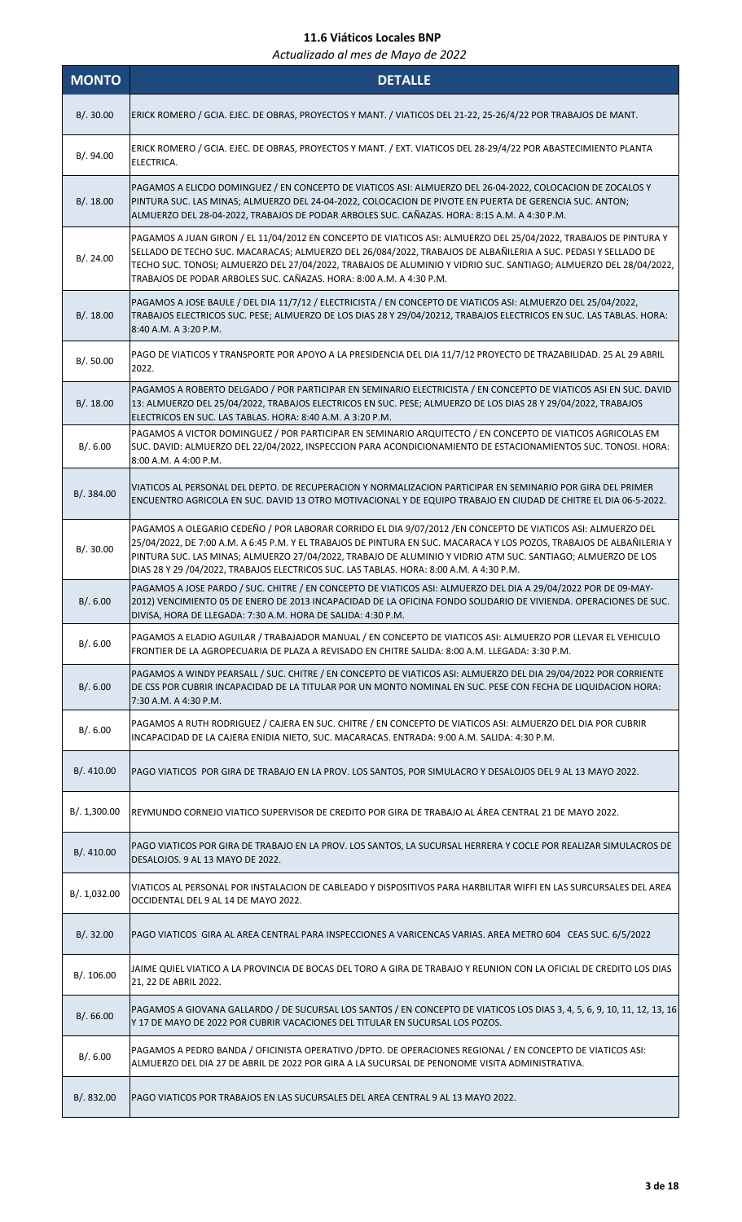| <b>MONTO</b> | <b>DETALLE</b>                                                                                                                                                                                                                                                                                                                                                                                                                                   |
|--------------|--------------------------------------------------------------------------------------------------------------------------------------------------------------------------------------------------------------------------------------------------------------------------------------------------------------------------------------------------------------------------------------------------------------------------------------------------|
| B/.30.00     | ERICK ROMERO / GCIA. EJEC. DE OBRAS, PROYECTOS Y MANT. / VIATICOS DEL 21-22, 25-26/4/22 POR TRABAJOS DE MANT.                                                                                                                                                                                                                                                                                                                                    |
| B/.94.00     | ERICK ROMERO / GCIA. EJEC. DE OBRAS, PROYECTOS Y MANT. / EXT. VIATICOS DEL 28-29/4/22 POR ABASTECIMIENTO PLANTA<br>ELECTRICA.                                                                                                                                                                                                                                                                                                                    |
| B/.18.00     | PAGAMOS A ELICDO DOMINGUEZ / EN CONCEPTO DE VIATICOS ASI: ALMUERZO DEL 26-04-2022, COLOCACION DE ZOCALOS Y<br>PINTURA SUC. LAS MINAS; ALMUERZO DEL 24-04-2022, COLOCACION DE PIVOTE EN PUERTA DE GERENCIA SUC. ANTON;<br>ALMUERZO DEL 28-04-2022, TRABAJOS DE PODAR ARBOLES SUC. CAÑAZAS. HORA: 8:15 A.M. A 4:30 P.M.                                                                                                                            |
| B/.24.00     | PAGAMOS A JUAN GIRON / EL 11/04/2012 EN CONCEPTO DE VIATICOS ASI: ALMUERZO DEL 25/04/2022, TRABAJOS DE PINTURA Y<br>SELLADO DE TECHO SUC. MACARACAS; ALMUERZO DEL 26/084/2022, TRABAJOS DE ALBAÑILERIA A SUC. PEDASI Y SELLADO DE<br>TECHO SUC. TONOSI; ALMUERZO DEL 27/04/2022, TRABAJOS DE ALUMINIO Y VIDRIO SUC. SANTIAGO; ALMUERZO DEL 28/04/2022,<br>TRABAJOS DE PODAR ARBOLES SUC. CAÑAZAS. HORA: 8:00 A.M. A 4:30 P.M.                    |
| B/.18.00     | PAGAMOS A JOSE BAULE / DEL DIA 11/7/12 / ELECTRICISTA / EN CONCEPTO DE VIATICOS ASI: ALMUERZO DEL 25/04/2022,<br>TRABAJOS ELECTRICOS SUC. PESE; ALMUERZO DE LOS DIAS 28 Y 29/04/20212, TRABAJOS ELECTRICOS EN SUC. LAS TABLAS. HORA:<br>8:40 A.M. A 3:20 P.M.                                                                                                                                                                                    |
| B/.50.00     | PAGO DE VIATICOS Y TRANSPORTE POR APOYO A LA PRESIDENCIA DEL DIA 11/7/12 PROYECTO DE TRAZABILIDAD. 25 AL 29 ABRIL<br>2022.                                                                                                                                                                                                                                                                                                                       |
| B/.18.00     | PAGAMOS A ROBERTO DELGADO / POR PARTICIPAR EN SEMINARIO ELECTRICISTA / EN CONCEPTO DE VIATICOS ASI EN SUC. DAVID<br>13: ALMUERZO DEL 25/04/2022, TRABAJOS ELECTRICOS EN SUC. PESE; ALMUERZO DE LOS DIAS 28 Y 29/04/2022, TRABAJOS<br>ELECTRICOS EN SUC. LAS TABLAS. HORA: 8:40 A.M. A 3:20 P.M.                                                                                                                                                  |
| B/.6.00      | PAGAMOS A VICTOR DOMINGUEZ / POR PARTICIPAR EN SEMINARIO ARQUITECTO / EN CONCEPTO DE VIATICOS AGRICOLAS EM<br>SUC. DAVID: ALMUERZO DEL 22/04/2022, INSPECCION PARA ACONDICIONAMIENTO DE ESTACIONAMIENTOS SUC. TONOSI. HORA:<br>8:00 A.M. A 4:00 P.M.                                                                                                                                                                                             |
| B/. 384.00   | VIATICOS AL PERSONAL DEL DEPTO. DE RECUPERACION Y NORMALIZACION PARTICIPAR EN SEMINARIO POR GIRA DEL PRIMER<br>ENCUENTRO AGRICOLA EN SUC. DAVID 13 OTRO MOTIVACIONAL Y DE EQUIPO TRABAJO EN CIUDAD DE CHITRE EL DIA 06-5-2022.                                                                                                                                                                                                                   |
| B/. 30.00    | PAGAMOS A OLEGARIO CEDEÑO / POR LABORAR CORRIDO EL DIA 9/07/2012 / EN CONCEPTO DE VIATICOS ASI: ALMUERZO DEL<br>25/04/2022, DE 7:00 A.M. A 6:45 P.M. Y EL TRABAJOS DE PINTURA EN SUC. MACARACA Y LOS POZOS, TRABAJOS DE ALBAÑILERIA Y<br>PINTURA SUC. LAS MINAS; ALMUERZO 27/04/2022, TRABAJO DE ALUMINIO Y VIDRIO ATM SUC. SANTIAGO; ALMUERZO DE LOS<br>DIAS 28 Y 29 /04/2022, TRABAJOS ELECTRICOS SUC. LAS TABLAS. HORA: 8:00 A.M. A 4:30 P.M. |
| B/0.6.00     | PAGAMOS A JOSE PARDO / SUC. CHITRE / EN CONCEPTO DE VIATICOS ASI: ALMUERZO DEL DIA A 29/04/2022 POR DE 09-MAY-<br>2012) VENCIMIENTO 05 DE ENERO DE 2013 INCAPACIDAD DE LA OFICINA FONDO SOLIDARIO DE VIVIENDA. OPERACIONES DE SUC.<br>DIVISA, HORA DE LLEGADA: 7:30 A.M. HORA DE SALIDA: 4:30 P.M.                                                                                                                                               |
| B/.6.00      | PAGAMOS A ELADIO AGUILAR / TRABAJADOR MANUAL / EN CONCEPTO DE VIATICOS ASI: ALMUERZO POR LLEVAR EL VEHICULO<br>FRONTIER DE LA AGROPECUARIA DE PLAZA A REVISADO EN CHITRE SALIDA: 8:00 A.M. LLEGADA: 3:30 P.M.                                                                                                                                                                                                                                    |
| B/.6.00      | PAGAMOS A WINDY PEARSALL / SUC. CHITRE / EN CONCEPTO DE VIATICOS ASI: ALMUERZO DEL DIA 29/04/2022 POR CORRIENTE<br>DE CSS POR CUBRIR INCAPACIDAD DE LA TITULAR POR UN MONTO NOMINAL EN SUC. PESE CON FECHA DE LIQUIDACION HORA:<br>7:30 A.M. A 4:30 P.M.                                                                                                                                                                                         |
| B/.6.00      | PAGAMOS A RUTH RODRIGUEZ / CAJERA EN SUC. CHITRE / EN CONCEPTO DE VIATICOS ASI: ALMUERZO DEL DIA POR CUBRIR<br>INCAPACIDAD DE LA CAJERA ENIDIA NIETO, SUC. MACARACAS. ENTRADA: 9:00 A.M. SALIDA: 4:30 P.M.                                                                                                                                                                                                                                       |
| B/.410.00    | PAGO VIATICOS POR GIRA DE TRABAJO EN LA PROV. LOS SANTOS, POR SIMULACRO Y DESALOJOS DEL 9 AL 13 MAYO 2022.                                                                                                                                                                                                                                                                                                                                       |
| B/.1,300.00  | REYMUNDO CORNEJO VIATICO SUPERVISOR DE CREDITO POR GIRA DE TRABAJO AL ÁREA CENTRAL 21 DE MAYO 2022.                                                                                                                                                                                                                                                                                                                                              |
| B/. 410.00   | PAGO VIATICOS POR GIRA DE TRABAJO EN LA PROV. LOS SANTOS, LA SUCURSAL HERRERA Y COCLE POR REALIZAR SIMULACROS DE<br>DESALOJOS. 9 AL 13 MAYO DE 2022.                                                                                                                                                                                                                                                                                             |
| B/. 1,032.00 | VIATICOS AL PERSONAL POR INSTALACION DE CABLEADO Y DISPOSITIVOS PARA HARBILITAR WIFFI EN LAS SURCURSALES DEL AREA<br>OCCIDENTAL DEL 9 AL 14 DE MAYO 2022.                                                                                                                                                                                                                                                                                        |
| B/.32.00     | PAGO VIATICOS GIRA AL AREA CENTRAL PARA INSPECCIONES A VARICENCAS VARIAS. AREA METRO 604 CEAS SUC. 6/5/2022                                                                                                                                                                                                                                                                                                                                      |
| B/. 106.00   | JAIME QUIEL VIATICO A LA PROVINCIA DE BOCAS DEL TORO A GIRA DE TRABAJO Y REUNION CON LA OFICIAL DE CREDITO LOS DIAS<br>21, 22 DE ABRIL 2022.                                                                                                                                                                                                                                                                                                     |
| B/0.66.00    | PAGAMOS A GIOVANA GALLARDO / DE SUCURSAL LOS SANTOS / EN CONCEPTO DE VIATICOS LOS DIAS 3, 4, 5, 6, 9, 10, 11, 12, 13, 16<br>Y 17 DE MAYO DE 2022 POR CUBRIR VACACIONES DEL TITULAR EN SUCURSAL LOS POZOS.                                                                                                                                                                                                                                        |
| B/.6.00      | PAGAMOS A PEDRO BANDA / OFICINISTA OPERATIVO / DPTO. DE OPERACIONES REGIONAL / EN CONCEPTO DE VIATICOS ASI:<br>ALMUERZO DEL DIA 27 DE ABRIL DE 2022 POR GIRA A LA SUCURSAL DE PENONOME VISITA ADMINISTRATIVA.                                                                                                                                                                                                                                    |
| B/. 832.00   | PAGO VIATICOS POR TRABAJOS EN LAS SUCURSALES DEL AREA CENTRAL 9 AL 13 MAYO 2022.                                                                                                                                                                                                                                                                                                                                                                 |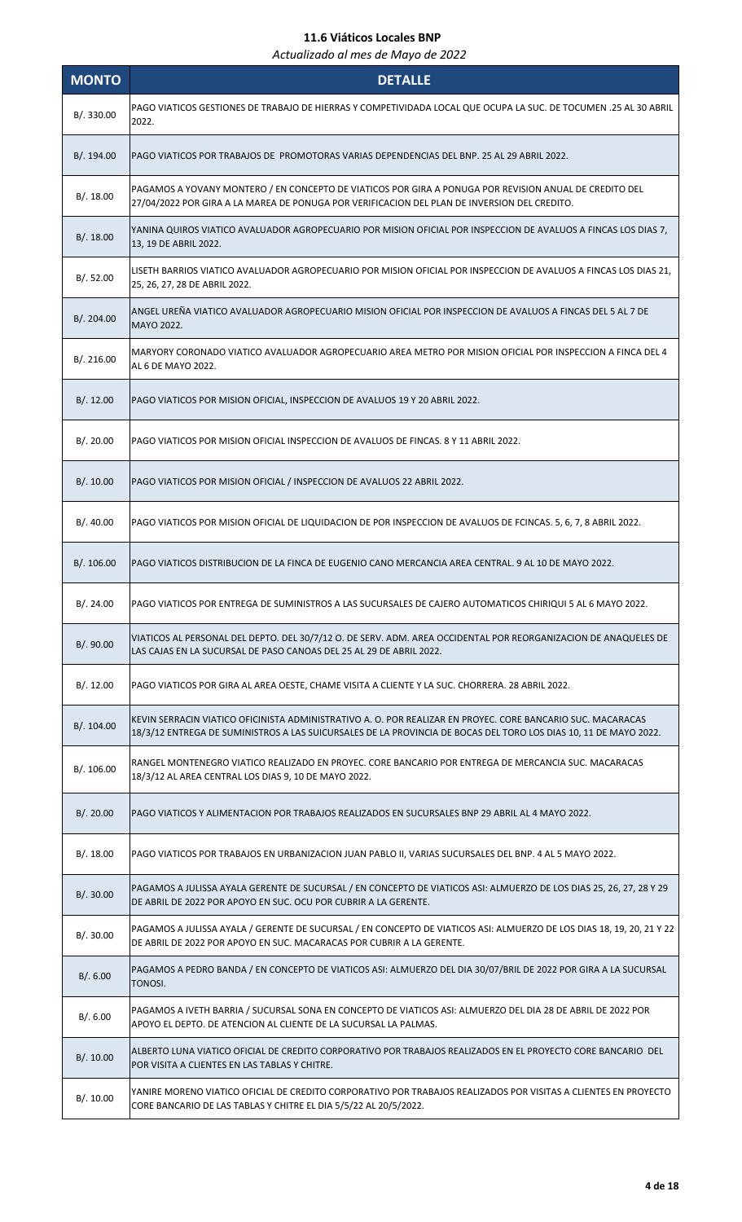| <b>MONTO</b> | <b>DETALLE</b>                                                                                                                                                                                                                  |
|--------------|---------------------------------------------------------------------------------------------------------------------------------------------------------------------------------------------------------------------------------|
| B/.330.00    | PAGO VIATICOS GESTIONES DE TRABAJO DE HIERRAS Y COMPETIVIDADA LOCAL QUE OCUPA LA SUC. DE TOCUMEN .25 AL 30 ABRIL<br>2022.                                                                                                       |
| B/.194.00    | PAGO VIATICOS POR TRABAJOS DE PROMOTORAS VARIAS DEPENDENCIAS DEL BNP. 25 AL 29 ABRIL 2022.                                                                                                                                      |
| B/.18.00     | PAGAMOS A YOVANY MONTERO / EN CONCEPTO DE VIATICOS POR GIRA A PONUGA POR REVISION ANUAL DE CREDITO DEL<br>27/04/2022 POR GIRA A LA MAREA DE PONUGA POR VERIFICACION DEL PLAN DE INVERSION DEL CREDITO.                          |
| B/.18.00     | YANINA QUIROS VIATICO AVALUADOR AGROPECUARIO POR MISION OFICIAL POR INSPECCION DE AVALUOS A FINCAS LOS DIAS 7,<br>13, 19 DE ABRIL 2022.                                                                                         |
| B/.52.00     | LISETH BARRIOS VIATICO AVALUADOR AGROPECUARIO POR MISION OFICIAL POR INSPECCION DE AVALUOS A FINCAS LOS DIAS 21,<br>25, 26, 27, 28 DE ABRIL 2022.                                                                               |
| B/. 204.00   | ANGEL UREÑA VIATICO AVALUADOR AGROPECUARIO MISION OFICIAL POR INSPECCION DE AVALUOS A FINCAS DEL 5 AL 7 DE<br>MAYO 2022.                                                                                                        |
| B/. 216.00   | MARYORY CORONADO VIATICO AVALUADOR AGROPECUARIO AREA METRO POR MISION OFICIAL POR INSPECCION A FINCA DEL 4<br>AL 6 DE MAYO 2022.                                                                                                |
| B/.12.00     | PAGO VIATICOS POR MISION OFICIAL, INSPECCION DE AVALUOS 19 Y 20 ABRIL 2022.                                                                                                                                                     |
| B/.20.00     | PAGO VIATICOS POR MISION OFICIAL INSPECCION DE AVALUOS DE FINCAS. 8 Y 11 ABRIL 2022.                                                                                                                                            |
| B/.10.00     | PAGO VIATICOS POR MISION OFICIAL / INSPECCION DE AVALUOS 22 ABRIL 2022.                                                                                                                                                         |
| B/.40.00     | PAGO VIATICOS POR MISION OFICIAL DE LIQUIDACION DE POR INSPECCION DE AVALUOS DE FCINCAS. 5, 6, 7, 8 ABRIL 2022.                                                                                                                 |
| B/. 106.00   | PAGO VIATICOS DISTRIBUCION DE LA FINCA DE EUGENIO CANO MERCANCIA AREA CENTRAL. 9 AL 10 DE MAYO 2022.                                                                                                                            |
| B/.24.00     | PAGO VIATICOS POR ENTREGA DE SUMINISTROS A LAS SUCURSALES DE CAJERO AUTOMATICOS CHIRIQUI 5 AL 6 MAYO 2022.                                                                                                                      |
| B/. 90.00    | VIATICOS AL PERSONAL DEL DEPTO. DEL 30/7/12 O. DE SERV. ADM. AREA OCCIDENTAL POR REORGANIZACION DE ANAQUELES DE<br>LAS CAJAS EN LA SUCURSAL DE PASO CANOAS DEL 25 AL 29 DE ABRIL 2022.                                          |
| B/.12.00     | PAGO VIATICOS POR GIRA AL AREA OESTE, CHAME VISITA A CLIENTE Y LA SUC. CHORRERA. 28 ABRIL 2022.                                                                                                                                 |
| B/.104.00    | KEVIN SERRACIN VIATICO OFICINISTA ADMINISTRATIVO A. O. POR REALIZAR EN PROYEC. CORE BANCARIO SUC. MACARACAS<br>18/3/12 ENTREGA DE SUMINISTROS A LAS SUICURSALES DE LA PROVINCIA DE BOCAS DEL TORO LOS DIAS 10, 11 DE MAYO 2022. |
| B/.106.00    | RANGEL MONTENEGRO VIATICO REALIZADO EN PROYEC. CORE BANCARIO POR ENTREGA DE MERCANCIA SUC. MACARACAS<br>18/3/12 AL AREA CENTRAL LOS DIAS 9, 10 DE MAYO 2022.                                                                    |
| B/.20.00     | PAGO VIATICOS Y ALIMENTACION POR TRABAJOS REALIZADOS EN SUCURSALES BNP 29 ABRIL AL 4 MAYO 2022.                                                                                                                                 |
| B/.18.00     | PAGO VIATICOS POR TRABAJOS EN URBANIZACION JUAN PABLO II, VARIAS SUCURSALES DEL BNP. 4 AL 5 MAYO 2022.                                                                                                                          |
| B/.30.00     | PAGAMOS A JULISSA AYALA GERENTE DE SUCURSAL / EN CONCEPTO DE VIATICOS ASI: ALMUERZO DE LOS DIAS 25, 26, 27, 28 Y 29<br>DE ABRIL DE 2022 POR APOYO EN SUC. OCU POR CUBRIR A LA GERENTE.                                          |
| B/.30.00     | PAGAMOS A JULISSA AYALA / GERENTE DE SUCURSAL / EN CONCEPTO DE VIATICOS ASI: ALMUERZO DE LOS DIAS 18, 19, 20, 21 Y 22<br>DE ABRIL DE 2022 POR APOYO EN SUC. MACARACAS POR CUBRIR A LA GERENTE.                                  |
| B/.6.00      | PAGAMOS A PEDRO BANDA / EN CONCEPTO DE VIATICOS ASI: ALMUERZO DEL DIA 30/07/BRIL DE 2022 POR GIRA A LA SUCURSAL<br>TONOSI.                                                                                                      |
| B/.6.00      | PAGAMOS A IVETH BARRIA / SUCURSAL SONA EN CONCEPTO DE VIATICOS ASI: ALMUERZO DEL DIA 28 DE ABRIL DE 2022 POR<br>APOYO EL DEPTO. DE ATENCION AL CLIENTE DE LA SUCURSAL LA PALMAS.                                                |
| B/.10.00     | ALBERTO LUNA VIATICO OFICIAL DE CREDITO CORPORATIVO POR TRABAJOS REALIZADOS EN EL PROYECTO CORE BANCARIO DEL<br>POR VISITA A CLIENTES EN LAS TABLAS Y CHITRE.                                                                   |
| B/.10.00     | YANIRE MORENO VIATICO OFICIAL DE CREDITO CORPORATIVO POR TRABAJOS REALIZADOS POR VISITAS A CLIENTES EN PROYECTO<br>CORE BANCARIO DE LAS TABLAS Y CHITRE EL DIA 5/5/22 AL 20/5/2022.                                             |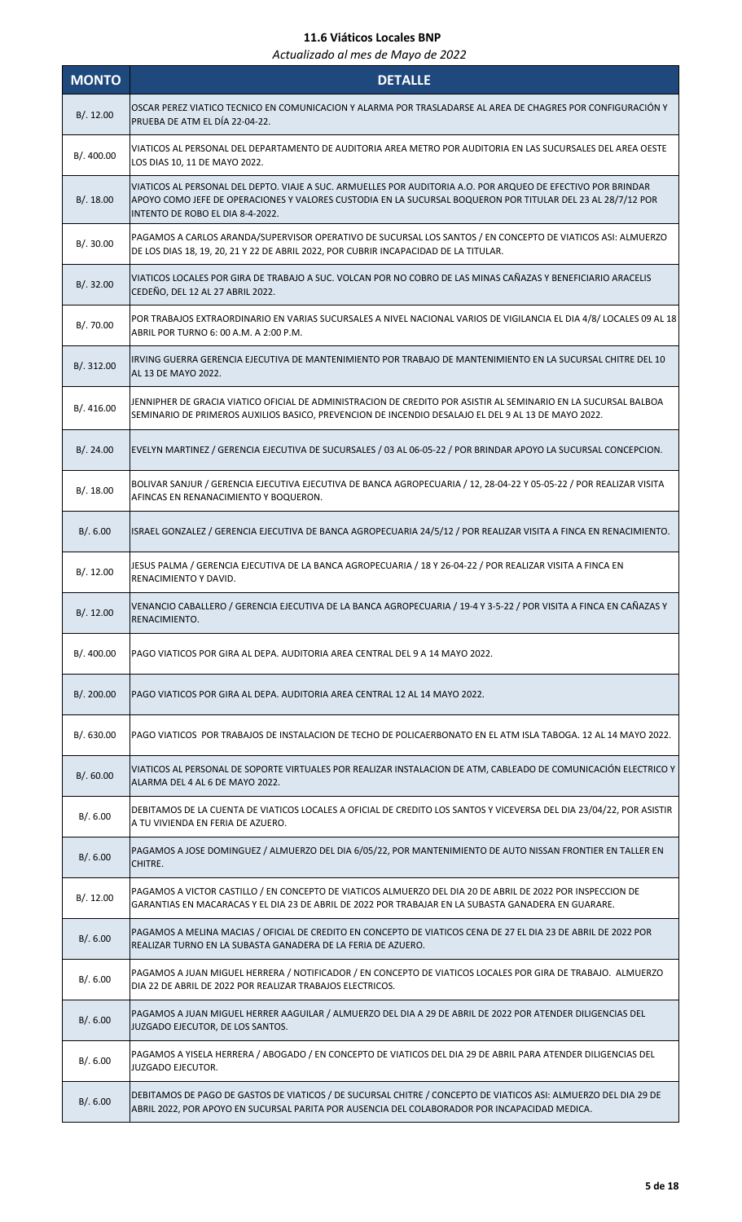| <b>MONTO</b> | <b>DETALLE</b>                                                                                                                                                                                                                                                  |
|--------------|-----------------------------------------------------------------------------------------------------------------------------------------------------------------------------------------------------------------------------------------------------------------|
| B/.12.00     | OSCAR PEREZ VIATICO TECNICO EN COMUNICACION Y ALARMA POR TRASLADARSE AL AREA DE CHAGRES POR CONFIGURACIÓN Y<br>PRUEBA DE ATM EL DÍA 22-04-22.                                                                                                                   |
| B/. 400.00   | VIATICOS AL PERSONAL DEL DEPARTAMENTO DE AUDITORIA AREA METRO POR AUDITORIA EN LAS SUCURSALES DEL AREA OESTE<br>LOS DIAS 10, 11 DE MAYO 2022.                                                                                                                   |
| B/.18.00     | VIATICOS AL PERSONAL DEL DEPTO. VIAJE A SUC. ARMUELLES POR AUDITORIA A.O. POR ARQUEO DE EFECTIVO POR BRINDAR<br>APOYO COMO JEFE DE OPERACIONES Y VALORES CUSTODIA EN LA SUCURSAL BOQUERON POR TITULAR DEL 23 AL 28/7/12 POR<br>INTENTO DE ROBO EL DIA 8-4-2022. |
| B/.30.00     | PAGAMOS A CARLOS ARANDA/SUPERVISOR OPERATIVO DE SUCURSAL LOS SANTOS / EN CONCEPTO DE VIATICOS ASI: ALMUERZO<br>DE LOS DIAS 18, 19, 20, 21 Y 22 DE ABRIL 2022, POR CUBRIR INCAPACIDAD DE LA TITULAR.                                                             |
| B/.32.00     | VIATICOS LOCALES POR GIRA DE TRABAJO A SUC. VOLCAN POR NO COBRO DE LAS MINAS CAÑAZAS Y BENEFICIARIO ARACELIS<br>CEDEÑO, DEL 12 AL 27 ABRIL 2022.                                                                                                                |
| B/.70.00     | POR TRABAJOS EXTRAORDINARIO EN VARIAS SUCURSALES A NIVEL NACIONAL VARIOS DE VIGILANCIA EL DIA 4/8/ LOCALES 09 AL 18<br>ABRIL POR TURNO 6: 00 A.M. A 2:00 P.M.                                                                                                   |
| B/. 312.00   | IRVING GUERRA GERENCIA EJECUTIVA DE MANTENIMIENTO POR TRABAJO DE MANTENIMIENTO EN LA SUCURSAL CHITRE DEL 10<br>AL 13 DE MAYO 2022.                                                                                                                              |
| B/. 416.00   | JENNIPHER DE GRACIA VIATICO OFICIAL DE ADMINISTRACION DE CREDITO POR ASISTIR AL SEMINARIO EN LA SUCURSAL BALBOA<br>SEMINARIO DE PRIMEROS AUXILIOS BASICO, PREVENCION DE INCENDIO DESALAJO EL DEL 9 AL 13 DE MAYO 2022.                                          |
| B/.24.00     | EVELYN MARTINEZ / GERENCIA EJECUTIVA DE SUCURSALES / 03 AL 06-05-22 / POR BRINDAR APOYO LA SUCURSAL CONCEPCION.                                                                                                                                                 |
| B/.18.00     | BOLIVAR SANJUR / GERENCIA EJECUTIVA EJECUTIVA DE BANCA AGROPECUARIA / 12, 28-04-22 Y 05-05-22 / POR REALIZAR VISITA<br>AFINCAS EN RENANACIMIENTO Y BOQUERON.                                                                                                    |
| B/.6.00      | ISRAEL GONZALEZ / GERENCIA EJECUTIVA DE BANCA AGROPECUARIA 24/5/12 / POR REALIZAR VISITA A FINCA EN RENACIMIENTO.                                                                                                                                               |
| B/.12.00     | JESUS PALMA / GERENCIA EJECUTIVA DE LA BANCA AGROPECUARIA / 18 Y 26-04-22 / POR REALIZAR VISITA A FINCA EN<br>RENACIMIENTO Y DAVID.                                                                                                                             |
| B/.12.00     | VENANCIO CABALLERO / GERENCIA EJECUTIVA DE LA BANCA AGROPECUARIA / 19-4 Y 3-5-22 / POR VISITA A FINCA EN CAÑAZAS Y<br>RENACIMIENTO.                                                                                                                             |
| B/. 400.00   | PAGO VIATICOS POR GIRA AL DEPA. AUDITORIA AREA CENTRAL DEL 9 A 14 MAYO 2022.                                                                                                                                                                                    |
| B/.200.00    | PAGO VIATICOS POR GIRA AL DEPA. AUDITORIA AREA CENTRAL 12 AL 14 MAYO 2022.                                                                                                                                                                                      |
| B/0.630.00   | PAGO VIATICOS POR TRABAJOS DE INSTALACION DE TECHO DE POLICAERBONATO EN EL ATM ISLA TABOGA. 12 AL 14 MAYO 2022.                                                                                                                                                 |
| B/0.60.00    | VIATICOS AL PERSONAL DE SOPORTE VIRTUALES POR REALIZAR INSTALACION DE ATM, CABLEADO DE COMUNICACIÓN ELECTRICO Y<br>ALARMA DEL 4 AL 6 DE MAYO 2022.                                                                                                              |
| B/.6.00      | DEBITAMOS DE LA CUENTA DE VIATICOS LOCALES A OFICIAL DE CREDITO LOS SANTOS Y VICEVERSA DEL DIA 23/04/22, POR ASISTIR<br>A TU VIVIENDA EN FERIA DE AZUERO.                                                                                                       |
| B/.6.00      | PAGAMOS A JOSE DOMINGUEZ / ALMUERZO DEL DIA 6/05/22, POR MANTENIMIENTO DE AUTO NISSAN FRONTIER EN TALLER EN<br>CHITRE.                                                                                                                                          |
| B/.12.00     | PAGAMOS A VICTOR CASTILLO / EN CONCEPTO DE VIATICOS ALMUERZO DEL DIA 20 DE ABRIL DE 2022 POR INSPECCION DE<br>GARANTIAS EN MACARACAS Y EL DIA 23 DE ABRIL DE 2022 POR TRABAJAR EN LA SUBASTA GANADERA EN GUARARE.                                               |
| B/.6.00      | PAGAMOS A MELINA MACIAS / OFICIAL DE CREDITO EN CONCEPTO DE VIATICOS CENA DE 27 EL DIA 23 DE ABRIL DE 2022 POR<br>REALIZAR TURNO EN LA SUBASTA GANADERA DE LA FERIA DE AZUERO.                                                                                  |
| B/.6.00      | PAGAMOS A JUAN MIGUEL HERRERA / NOTIFICADOR / EN CONCEPTO DE VIATICOS LOCALES POR GIRA DE TRABAJO. ALMUERZO<br>DIA 22 DE ABRIL DE 2022 POR REALIZAR TRABAJOS ELECTRICOS.                                                                                        |
| B/.6.00      | PAGAMOS A JUAN MIGUEL HERRER AAGUILAR / ALMUERZO DEL DIA A 29 DE ABRIL DE 2022 POR ATENDER DILIGENCIAS DEL<br>JUZGADO EJECUTOR, DE LOS SANTOS.                                                                                                                  |
| B/.6.00      | PAGAMOS A YISELA HERRERA / ABOGADO / EN CONCEPTO DE VIATICOS DEL DIA 29 DE ABRIL PARA ATENDER DILIGENCIAS DEL<br>JUZGADO EJECUTOR.                                                                                                                              |
| B/.6.00      | DEBITAMOS DE PAGO DE GASTOS DE VIATICOS / DE SUCURSAL CHITRE / CONCEPTO DE VIATICOS ASI: ALMUERZO DEL DIA 29 DE<br>ABRIL 2022, POR APOYO EN SUCURSAL PARITA POR AUSENCIA DEL COLABORADOR POR INCAPACIDAD MEDICA.                                                |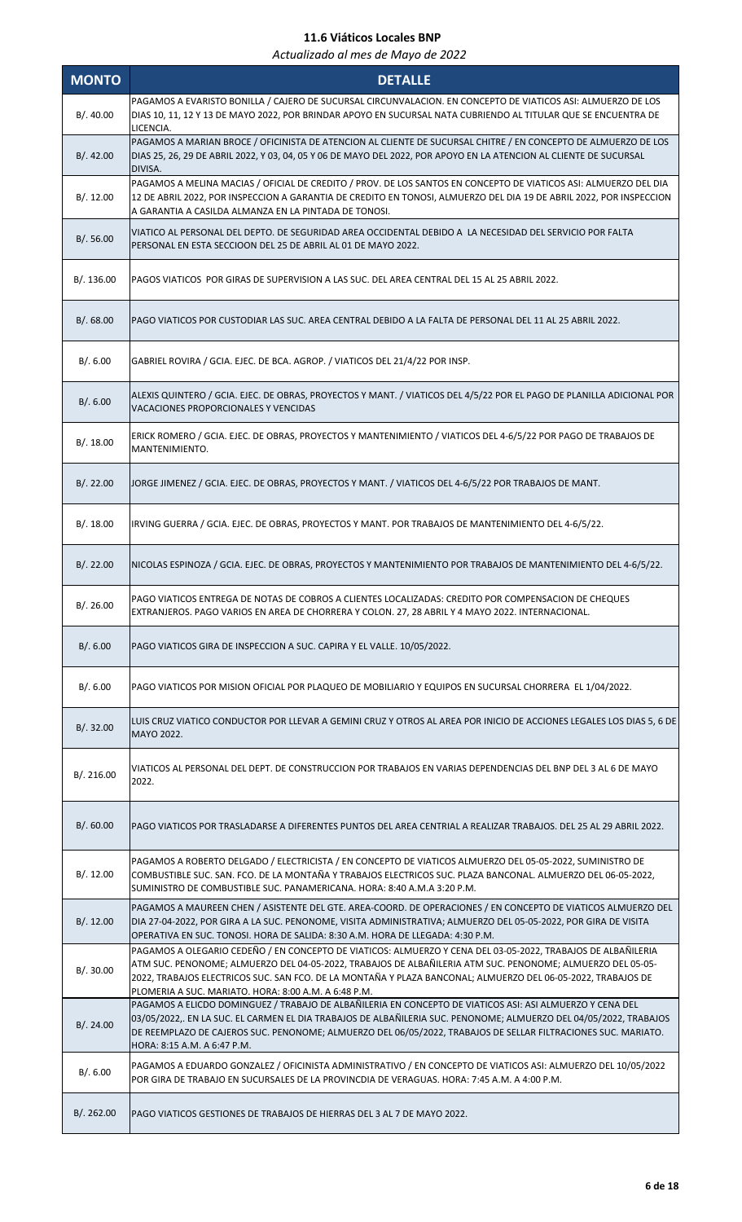| <b>MONTO</b> | <b>DETALLE</b>                                                                                                                                                                                                                                                                                                                                                                                     |
|--------------|----------------------------------------------------------------------------------------------------------------------------------------------------------------------------------------------------------------------------------------------------------------------------------------------------------------------------------------------------------------------------------------------------|
| B/.40.00     | PAGAMOS A EVARISTO BONILLA / CAJERO DE SUCURSAL CIRCUNVALACION. EN CONCEPTO DE VIATICOS ASI: ALMUERZO DE LOS<br>DIAS 10, 11, 12 Y 13 DE MAYO 2022, POR BRINDAR APOYO EN SUCURSAL NATA CUBRIENDO AL TITULAR QUE SE ENCUENTRA DE<br>LICENCIA.                                                                                                                                                        |
| B/. 42.00    | PAGAMOS A MARIAN BROCE / OFICINISTA DE ATENCION AL CLIENTE DE SUCURSAL CHITRE / EN CONCEPTO DE ALMUERZO DE LOS<br>DIAS 25, 26, 29 DE ABRIL 2022, Y 03, 04, 05 Y 06 DE MAYO DEL 2022, POR APOYO EN LA ATENCION AL CLIENTE DE SUCURSAL<br>DIVISA.                                                                                                                                                    |
| B/. 12.00    | PAGAMOS A MELINA MACIAS / OFICIAL DE CREDITO / PROV. DE LOS SANTOS EN CONCEPTO DE VIATICOS ASI: ALMUERZO DEL DIA<br>12 DE ABRIL 2022, POR INSPECCION A GARANTIA DE CREDITO EN TONOSI, ALMUERZO DEL DIA 19 DE ABRIL 2022, POR INSPECCION<br>A GARANTIA A CASILDA ALMANZA EN LA PINTADA DE TONOSI.                                                                                                   |
| B/.56.00     | VIATICO AL PERSONAL DEL DEPTO. DE SEGURIDAD AREA OCCIDENTAL DEBIDO A LA NECESIDAD DEL SERVICIO POR FALTA<br>PERSONAL EN ESTA SECCIOON DEL 25 DE ABRIL AL 01 DE MAYO 2022.                                                                                                                                                                                                                          |
| B/. 136.00   | PAGOS VIATICOS POR GIRAS DE SUPERVISION A LAS SUC. DEL AREA CENTRAL DEL 15 AL 25 ABRIL 2022.                                                                                                                                                                                                                                                                                                       |
| B/0.68.00    | PAGO VIATICOS POR CUSTODIAR LAS SUC. AREA CENTRAL DEBIDO A LA FALTA DE PERSONAL DEL 11 AL 25 ABRIL 2022.                                                                                                                                                                                                                                                                                           |
| B/.6.00      | GABRIEL ROVIRA / GCIA. EJEC. DE BCA. AGROP. / VIATICOS DEL 21/4/22 POR INSP.                                                                                                                                                                                                                                                                                                                       |
| B/.6.00      | ALEXIS QUINTERO / GCIA. EJEC. DE OBRAS, PROYECTOS Y MANT. / VIATICOS DEL 4/5/22 POR EL PAGO DE PLANILLA ADICIONAL POR<br>VACACIONES PROPORCIONALES Y VENCIDAS                                                                                                                                                                                                                                      |
| B/.18.00     | ERICK ROMERO / GCIA. EJEC. DE OBRAS, PROYECTOS Y MANTENIMIENTO / VIATICOS DEL 4-6/5/22 POR PAGO DE TRABAJOS DE<br>MANTENIMIENTO.                                                                                                                                                                                                                                                                   |
| B/.22.00     | JORGE JIMENEZ / GCIA. EJEC. DE OBRAS, PROYECTOS Y MANT. / VIATICOS DEL 4-6/5/22 POR TRABAJOS DE MANT.                                                                                                                                                                                                                                                                                              |
| B/.18.00     | IRVING GUERRA / GCIA. EJEC. DE OBRAS, PROYECTOS Y MANT. POR TRABAJOS DE MANTENIMIENTO DEL 4-6/5/22.                                                                                                                                                                                                                                                                                                |
| B/.22.00     | NICOLAS ESPINOZA / GCIA. EJEC. DE OBRAS, PROYECTOS Y MANTENIMIENTO POR TRABAJOS DE MANTENIMIENTO DEL 4-6/5/22.                                                                                                                                                                                                                                                                                     |
| B/. 26.00    | PAGO VIATICOS ENTREGA DE NOTAS DE COBROS A CLIENTES LOCALIZADAS: CREDITO POR COMPENSACION DE CHEQUES<br>EXTRANJEROS. PAGO VARIOS EN AREA DE CHORRERA Y COLON. 27, 28 ABRIL Y 4 MAYO 2022. INTERNACIONAL.                                                                                                                                                                                           |
| B/.6.00      | PAGO VIATICOS GIRA DE INSPECCION A SUC. CAPIRA Y EL VALLE. 10/05/2022.                                                                                                                                                                                                                                                                                                                             |
| B/.6.00      | PAGO VIATICOS POR MISION OFICIAL POR PLAQUEO DE MOBILIARIO Y EQUIPOS EN SUCURSAL CHORRERA EL 1/04/2022.                                                                                                                                                                                                                                                                                            |
| B/. 32.00    | LUIS CRUZ VIATICO CONDUCTOR POR LLEVAR A GEMINI CRUZ Y OTROS AL AREA POR INICIO DE ACCIONES LEGALES LOS DIAS 5, 6 DE<br>MAYO 2022.                                                                                                                                                                                                                                                                 |
| B/.216.00    | VIATICOS AL PERSONAL DEL DEPT. DE CONSTRUCCION POR TRABAJOS EN VARIAS DEPENDENCIAS DEL BNP DEL 3 AL 6 DE MAYO<br>2022.                                                                                                                                                                                                                                                                             |
| B/0.60.00    | PAGO VIATICOS POR TRASLADARSE A DIFERENTES PUNTOS DEL AREA CENTRIAL A REALIZAR TRABAJOS. DEL 25 AL 29 ABRIL 2022.                                                                                                                                                                                                                                                                                  |
| B/.12.00     | PAGAMOS A ROBERTO DELGADO / ELECTRICISTA / EN CONCEPTO DE VIATICOS ALMUERZO DEL 05-05-2022, SUMINISTRO DE<br>COMBUSTIBLE SUC. SAN. FCO. DE LA MONTAÑA Y TRABAJOS ELECTRICOS SUC. PLAZA BANCONAL. ALMUERZO DEL 06-05-2022,<br>SUMINISTRO DE COMBUSTIBLE SUC. PANAMERICANA. HORA: 8:40 A.M.A 3:20 P.M.                                                                                               |
| B/.12.00     | PAGAMOS A MAUREEN CHEN / ASISTENTE DEL GTE. AREA-COORD. DE OPERACIONES / EN CONCEPTO DE VIATICOS ALMUERZO DEL<br>DIA 27-04-2022, POR GIRA A LA SUC. PENONOME, VISITA ADMINISTRATIVA; ALMUERZO DEL 05-05-2022, POR GIRA DE VISITA<br>OPERATIVA EN SUC. TONOSI. HORA DE SALIDA: 8:30 A.M. HORA DE LLEGADA: 4:30 P.M.                                                                                 |
| B/.30.00     | PAGAMOS A OLEGARIO CEDEÑO / EN CONCEPTO DE VIATICOS: ALMUERZO Y CENA DEL 03-05-2022, TRABAJOS DE ALBAÑILERIA<br>ATM SUC. PENONOME; ALMUERZO DEL 04-05-2022, TRABAJOS DE ALBAÑILERIA ATM SUC. PENONOME; ALMUERZO DEL 05-05-<br>2022, TRABAJOS ELECTRICOS SUC. SAN FCO. DE LA MONTAÑA Y PLAZA BANCONAL; ALMUERZO DEL 06-05-2022, TRABAJOS DE<br>PLOMERIA A SUC. MARIATO. HORA: 8:00 A.M. A 6:48 P.M. |
| B/. 24.00    | PAGAMOS A ELICDO DOMINGUEZ / TRABAJO DE ALBAÑILERIA EN CONCEPTO DE VIATICOS ASI: ASI ALMUERZO Y CENA DEL<br>03/05/2022,. EN LA SUC. EL CARMEN EL DIA TRABAJOS DE ALBAÑILERIA SUC. PENONOME; ALMUERZO DEL 04/05/2022, TRABAJOS<br>DE REEMPLAZO DE CAJEROS SUC. PENONOME; ALMUERZO DEL 06/05/2022, TRABAJOS DE SELLAR FILTRACIONES SUC. MARIATO.<br>HORA: 8:15 A.M. A 6:47 P.M.                      |
| B/.6.00      | PAGAMOS A EDUARDO GONZALEZ / OFICINISTA ADMINISTRATIVO / EN CONCEPTO DE VIATICOS ASI: ALMUERZO DEL 10/05/2022<br>POR GIRA DE TRABAJO EN SUCURSALES DE LA PROVINCDIA DE VERAGUAS. HORA: 7:45 A.M. A 4:00 P.M.                                                                                                                                                                                       |
| B/.262.00    | PAGO VIATICOS GESTIONES DE TRABAJOS DE HIERRAS DEL 3 AL 7 DE MAYO 2022.                                                                                                                                                                                                                                                                                                                            |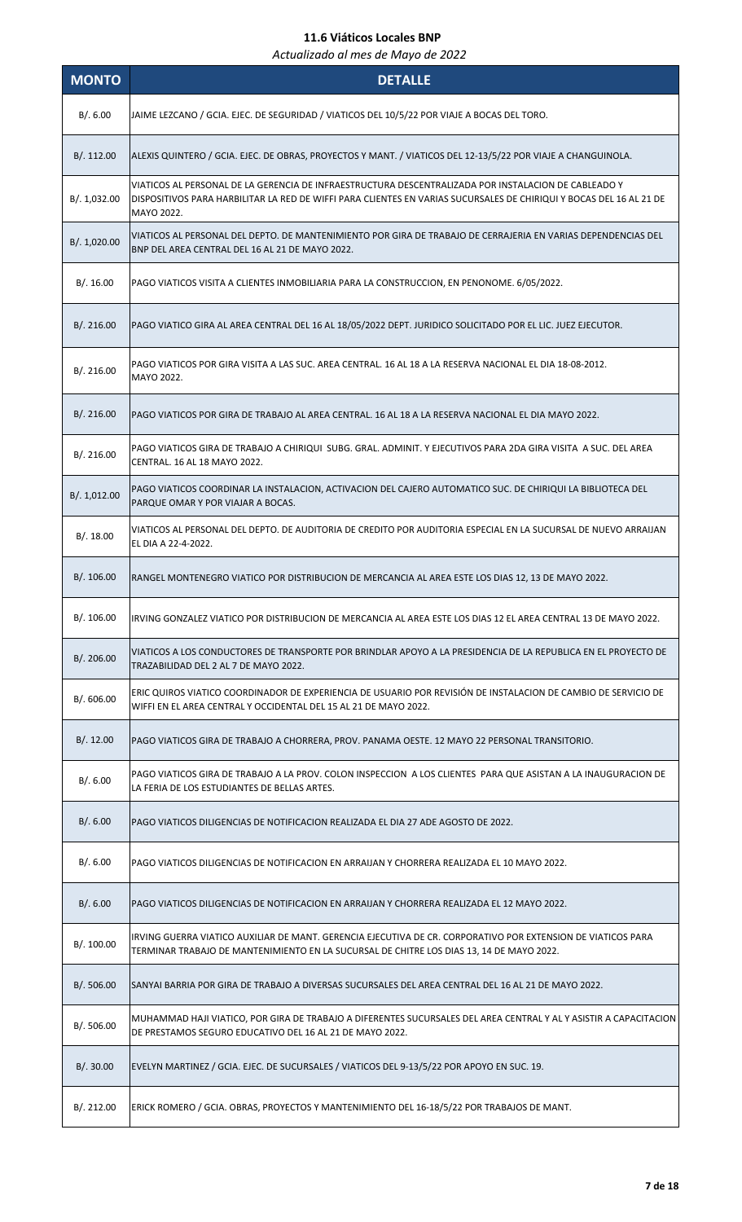| <b>MONTO</b> | <b>DETALLE</b>                                                                                                                                                                                                                            |
|--------------|-------------------------------------------------------------------------------------------------------------------------------------------------------------------------------------------------------------------------------------------|
| B/.6.00      | JAIME LEZCANO / GCIA. EJEC. DE SEGURIDAD / VIATICOS DEL 10/5/22 POR VIAJE A BOCAS DEL TORO.                                                                                                                                               |
| B/.112.00    | ALEXIS QUINTERO / GCIA. EJEC. DE OBRAS, PROYECTOS Y MANT. / VIATICOS DEL 12-13/5/22 POR VIAJE A CHANGUINOLA.                                                                                                                              |
| B/. 1,032.00 | VIATICOS AL PERSONAL DE LA GERENCIA DE INFRAESTRUCTURA DESCENTRALIZADA POR INSTALACION DE CABLEADO Y<br>DISPOSITIVOS PARA HARBILITAR LA RED DE WIFFI PARA CLIENTES EN VARIAS SUCURSALES DE CHIRIQUI Y BOCAS DEL 16 AL 21 DE<br>MAYO 2022. |
| B/. 1,020.00 | VIATICOS AL PERSONAL DEL DEPTO. DE MANTENIMIENTO POR GIRA DE TRABAJO DE CERRAJERIA EN VARIAS DEPENDENCIAS DEL<br>BNP DEL AREA CENTRAL DEL 16 AL 21 DE MAYO 2022.                                                                          |
| B/.16.00     | PAGO VIATICOS VISITA A CLIENTES INMOBILIARIA PARA LA CONSTRUCCION, EN PENONOME. 6/05/2022.                                                                                                                                                |
| B/.216.00    | PAGO VIATICO GIRA AL AREA CENTRAL DEL 16 AL 18/05/2022 DEPT. JURIDICO SOLICITADO POR EL LIC. JUEZ EJECUTOR.                                                                                                                               |
| B/. 216.00   | PAGO VIATICOS POR GIRA VISITA A LAS SUC. AREA CENTRAL. 16 AL 18 A LA RESERVA NACIONAL EL DIA 18-08-2012.<br>MAYO 2022.                                                                                                                    |
| B/. 216.00   | PAGO VIATICOS POR GIRA DE TRABAJO AL AREA CENTRAL. 16 AL 18 A LA RESERVA NACIONAL EL DIA MAYO 2022.                                                                                                                                       |
| B/. 216.00   | PAGO VIATICOS GIRA DE TRABAJO A CHIRIQUI SUBG. GRAL. ADMINIT. Y EJECUTIVOS PARA 2DA GIRA VISITA A SUC. DEL AREA<br>CENTRAL. 16 AL 18 MAYO 2022.                                                                                           |
| B/. 1,012.00 | PAGO VIATICOS COORDINAR LA INSTALACION, ACTIVACION DEL CAJERO AUTOMATICO SUC. DE CHIRIQUI LA BIBLIOTECA DEL<br>PARQUE OMAR Y POR VIAJAR A BOCAS.                                                                                          |
| B/.18.00     | VIATICOS AL PERSONAL DEL DEPTO. DE AUDITORIA DE CREDITO POR AUDITORIA ESPECIAL EN LA SUCURSAL DE NUEVO ARRAIJAN<br>EL DIA A 22-4-2022.                                                                                                    |
| B/.106.00    | RANGEL MONTENEGRO VIATICO POR DISTRIBUCION DE MERCANCIA AL AREA ESTE LOS DIAS 12, 13 DE MAYO 2022.                                                                                                                                        |
| B/. 106.00   | IRVING GONZALEZ VIATICO POR DISTRIBUCION DE MERCANCIA AL AREA ESTE LOS DIAS 12 EL AREA CENTRAL 13 DE MAYO 2022.                                                                                                                           |
| B/. 206.00   | VIATICOS A LOS CONDUCTORES DE TRANSPORTE POR BRINDLAR APOYO A LA PRESIDENCIA DE LA REPUBLICA EN EL PROYECTO DE<br>TRAZABILIDAD DEL 2 AL 7 DE MAYO 2022.                                                                                   |
| B/. 606.00   | ERIC QUIROS VIATICO COORDINADOR DE EXPERIENCIA DE USUARIO POR REVISIÓN DE INSTALACION DE CAMBIO DE SERVICIO DE<br>WIFFI EN EL AREA CENTRAL Y OCCIDENTAL DEL 15 AL 21 DE MAYO 2022.                                                        |
| B/.12.00     | PAGO VIATICOS GIRA DE TRABAJO A CHORRERA, PROV. PANAMA OESTE. 12 MAYO 22 PERSONAL TRANSITORIO.                                                                                                                                            |
| B/.6.00      | PAGO VIATICOS GIRA DE TRABAJO A LA PROV. COLON INSPECCION A LOS CLIENTES PARA QUE ASISTAN A LA INAUGURACION DE<br>LA FERIA DE LOS ESTUDIANTES DE BELLAS ARTES.                                                                            |
| B/0.6.00     | PAGO VIATICOS DILIGENCIAS DE NOTIFICACIÓN REALIZADA EL DIA 27 ADE AGOSTO DE 2022.                                                                                                                                                         |
| B/.6.00      | PAGO VIATICOS DILIGENCIAS DE NOTIFICACION EN ARRAIJAN Y CHORRERA REALIZADA EL 10 MAYO 2022.                                                                                                                                               |
| B/.6.00      | PAGO VIATICOS DILIGENCIAS DE NOTIFICACION EN ARRAIJAN Y CHORRERA REALIZADA EL 12 MAYO 2022.                                                                                                                                               |
| B/. 100.00   | IRVING GUERRA VIATICO AUXILIAR DE MANT. GERENCIA EJECUTIVA DE CR. CORPORATIVO POR EXTENSION DE VIATICOS PARA<br>TERMINAR TRABAJO DE MANTENIMIENTO EN LA SUCURSAL DE CHITRE LOS DIAS 13, 14 DE MAYO 2022.                                  |
| B/.506.00    | SANYAI BARRIA POR GIRA DE TRABAJO A DIVERSAS SUCURSALES DEL AREA CENTRAL DEL 16 AL 21 DE MAYO 2022.                                                                                                                                       |
| B/. 506.00   | MUHAMMAD HAJI VIATICO, POR GIRA DE TRABAJO A DIFERENTES SUCURSALES DEL AREA CENTRAL Y AL Y ASISTIR A CAPACITACION<br>DE PRESTAMOS SEGURO EDUCATIVO DEL 16 AL 21 DE MAYO 2022.                                                             |
| B/.30.00     | EVELYN MARTINEZ / GCIA. EJEC. DE SUCURSALES / VIATICOS DEL 9-13/5/22 POR APOYO EN SUC. 19.                                                                                                                                                |
| B/.212.00    | ERICK ROMERO / GCIA. OBRAS, PROYECTOS Y MANTENIMIENTO DEL 16-18/5/22 POR TRABAJOS DE MANT.                                                                                                                                                |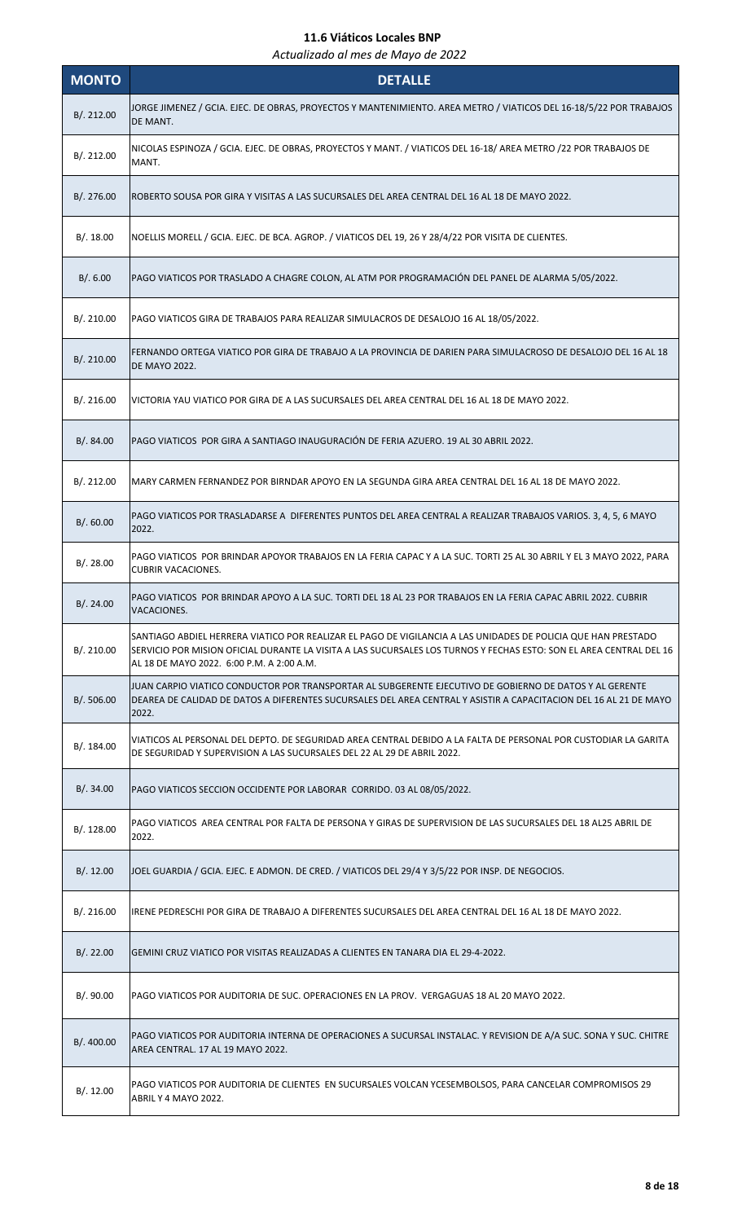| <b>MONTO</b> | <b>DETALLE</b>                                                                                                                                                                                                                                                                    |
|--------------|-----------------------------------------------------------------------------------------------------------------------------------------------------------------------------------------------------------------------------------------------------------------------------------|
| B/. 212.00   | JORGE JIMENEZ / GCIA. EJEC. DE OBRAS, PROYECTOS Y MANTENIMIENTO. AREA METRO / VIATICOS DEL 16-18/5/22 POR TRABAJOS<br>DE MANT.                                                                                                                                                    |
| B/. 212.00   | NICOLAS ESPINOZA / GCIA. EJEC. DE OBRAS, PROYECTOS Y MANT. / VIATICOS DEL 16-18/ AREA METRO /22 POR TRABAJOS DE<br>MANT.                                                                                                                                                          |
| B/.276.00    | ROBERTO SOUSA POR GIRA Y VISITAS A LAS SUCURSALES DEL AREA CENTRAL DEL 16 AL 18 DE MAYO 2022.                                                                                                                                                                                     |
| B/.18.00     | NOELLIS MORELL / GCIA. EJEC. DE BCA. AGROP. / VIATICOS DEL 19, 26 Y 28/4/22 POR VISITA DE CLIENTES.                                                                                                                                                                               |
| B/0.6.00     | PAGO VIATICOS POR TRASLADO A CHAGRE COLON, AL ATM POR PROGRAMACIÓN DEL PANEL DE ALARMA 5/05/2022.                                                                                                                                                                                 |
| B/. 210.00   | PAGO VIATICOS GIRA DE TRABAJOS PARA REALIZAR SIMULACROS DE DESALOJO 16 AL 18/05/2022.                                                                                                                                                                                             |
| B/. 210.00   | FERNANDO ORTEGA VIATICO POR GIRA DE TRABAJO A LA PROVINCIA DE DARIEN PARA SIMULACROSO DE DESALOJO DEL 16 AL 18<br><b>DE MAYO 2022.</b>                                                                                                                                            |
| B/.216.00    | VICTORIA YAU VIATICO POR GIRA DE A LAS SUCURSALES DEL AREA CENTRAL DEL 16 AL 18 DE MAYO 2022.                                                                                                                                                                                     |
| B/.84.00     | PAGO VIATICOS POR GIRA A SANTIAGO INAUGURACIÓN DE FERIA AZUERO. 19 AL 30 ABRIL 2022.                                                                                                                                                                                              |
| B/.212.00    | MARY CARMEN FERNANDEZ POR BIRNDAR APOYO EN LA SEGUNDA GIRA AREA CENTRAL DEL 16 AL 18 DE MAYO 2022.                                                                                                                                                                                |
| B/0.60.00    | PAGO VIATICOS POR TRASLADARSE A DIFERENTES PUNTOS DEL AREA CENTRAL A REALIZAR TRABAJOS VARIOS. 3, 4, 5, 6 MAYO<br>2022.                                                                                                                                                           |
| B/. 28.00    | PAGO VIATICOS POR BRINDAR APOYOR TRABAJOS EN LA FERIA CAPAC Y A LA SUC. TORTI 25 AL 30 ABRIL Y EL 3 MAYO 2022, PARA<br><b>CUBRIR VACACIONES.</b>                                                                                                                                  |
| B/.24.00     | PAGO VIATICOS POR BRINDAR APOYO A LA SUC. TORTI DEL 18 AL 23 POR TRABAJOS EN LA FERIA CAPAC ABRIL 2022. CUBRIR<br>VACACIONES.                                                                                                                                                     |
| B/.210.00    | SANTIAGO ABDIEL HERRERA VIATICO POR REALIZAR EL PAGO DE VIGILANCIA A LAS UNIDADES DE POLICIA QUE HAN PRESTADO<br>SERVICIO POR MISION OFICIAL DURANTE LA VISITA A LAS SUCURSALES LOS TURNOS Y FECHAS ESTO: SON EL AREA CENTRAL DEL 16<br>AL 18 DE MAYO 2022. 6:00 P.M. A 2:00 A.M. |
| B/.506.00    | JUAN CARPIO VIATICO CONDUCTOR POR TRANSPORTAR AL SUBGERENTE EJECUTIVO DE GOBIERNO DE DATOS Y AL GERENTE<br>DEAREA DE CALIDAD DE DATOS A DIFERENTES SUCURSALES DEL AREA CENTRAL Y ASISTIR A CAPACITACION DEL 16 AL 21 DE MAYO<br>2022.                                             |
| B/.184.00    | VIATICOS AL PERSONAL DEL DEPTO. DE SEGURIDAD AREA CENTRAL DEBIDO A LA FALTA DE PERSONAL POR CUSTODIAR LA GARITA<br>DE SEGURIDAD Y SUPERVISION A LAS SUCURSALES DEL 22 AL 29 DE ABRIL 2022.                                                                                        |
| B/.34.00     | PAGO VIATICOS SECCION OCCIDENTE POR LABORAR CORRIDO. 03 AL 08/05/2022.                                                                                                                                                                                                            |
| B/.128.00    | PAGO VIATICOS AREA CENTRAL POR FALTA DE PERSONA Y GIRAS DE SUPERVISION DE LAS SUCURSALES DEL 18 AL25 ABRIL DE<br>2022.                                                                                                                                                            |
| B/.12.00     | JOEL GUARDIA / GCIA. EJEC. E ADMON. DE CRED. / VIATICOS DEL 29/4 Y 3/5/22 POR INSP. DE NEGOCIOS.                                                                                                                                                                                  |
| B/.216.00    | IRENE PEDRESCHI POR GIRA DE TRABAJO A DIFERENTES SUCURSALES DEL AREA CENTRAL DEL 16 AL 18 DE MAYO 2022.                                                                                                                                                                           |
| B/.22.00     | GEMINI CRUZ VIATICO POR VISITAS REALIZADAS A CLIENTES EN TANARA DIA EL 29-4-2022.                                                                                                                                                                                                 |
| B/.90.00     | PAGO VIATICOS POR AUDITORIA DE SUC. OPERACIONES EN LA PROV. VERGAGUAS 18 AL 20 MAYO 2022.                                                                                                                                                                                         |
| B/.400.00    | PAGO VIATICOS POR AUDITORIA INTERNA DE OPERACIONES A SUCURSAL INSTALAC. Y REVISION DE A/A SUC. SONA Y SUC. CHITRE<br>AREA CENTRAL. 17 AL 19 MAYO 2022.                                                                                                                            |
| B/.12.00     | PAGO VIATICOS POR AUDITORIA DE CLIENTES EN SUCURSALES VOLCAN YCESEMBOLSOS, PARA CANCELAR COMPROMISOS 29<br>ABRIL Y 4 MAYO 2022.                                                                                                                                                   |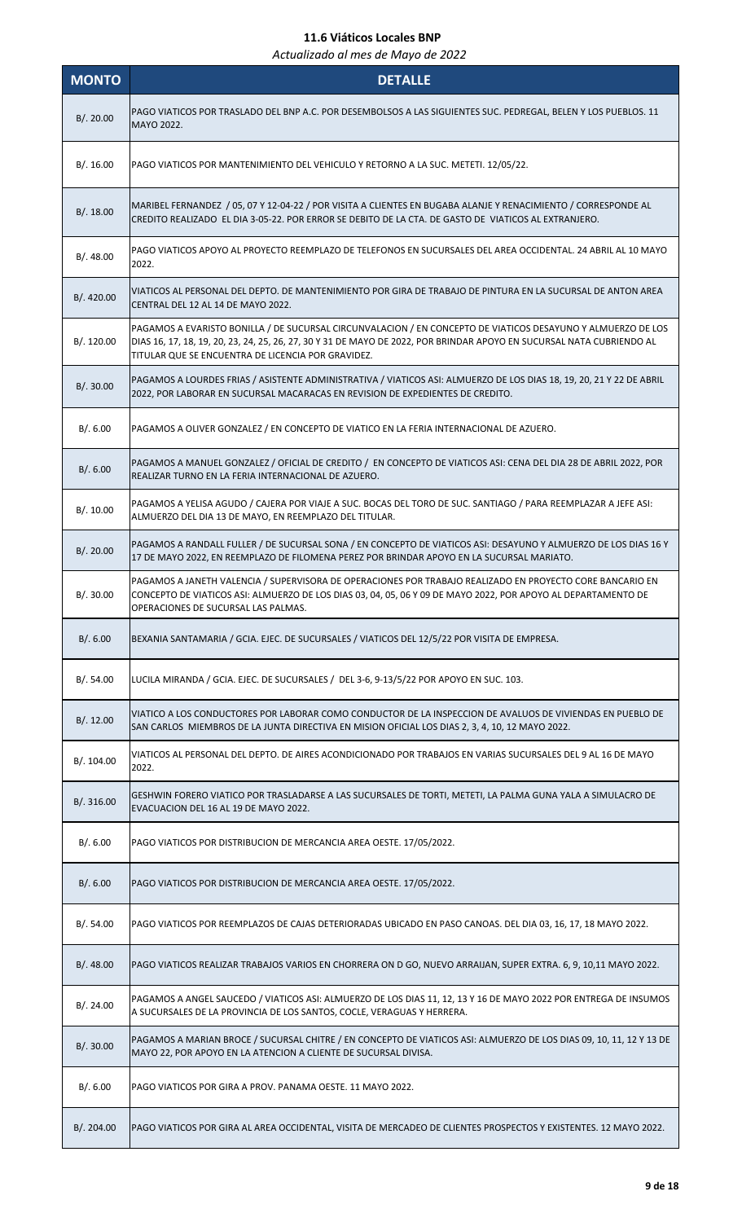| <b>MONTO</b> | <b>DETALLE</b>                                                                                                                                                                                                                                                                              |
|--------------|---------------------------------------------------------------------------------------------------------------------------------------------------------------------------------------------------------------------------------------------------------------------------------------------|
| B/.20.00     | PAGO VIATICOS POR TRASLADO DEL BNP A.C. POR DESEMBOLSOS A LAS SIGUIENTES SUC. PEDREGAL, BELEN Y LOS PUEBLOS. 11<br>MAYO 2022.                                                                                                                                                               |
| B/.16.00     | PAGO VIATICOS POR MANTENIMIENTO DEL VEHICULO Y RETORNO A LA SUC. METETI. 12/05/22.                                                                                                                                                                                                          |
| B/.18.00     | MARIBEL FERNANDEZ / 05, 07 Y 12-04-22 / POR VISITA A CLIENTES EN BUGABA ALANJE Y RENACIMIENTO / CORRESPONDE AL<br>CREDITO REALIZADO EL DIA 3-05-22. POR ERROR SE DEBITO DE LA CTA. DE GASTO DE VIATICOS AL EXTRANJERO.                                                                      |
| B/.48.00     | PAGO VIATICOS APOYO AL PROYECTO REEMPLAZO DE TELEFONOS EN SUCURSALES DEL AREA OCCIDENTAL. 24 ABRIL AL 10 MAYO<br>2022.                                                                                                                                                                      |
| B/.420.00    | VIATICOS AL PERSONAL DEL DEPTO. DE MANTENIMIENTO POR GIRA DE TRABAJO DE PINTURA EN LA SUCURSAL DE ANTON AREA<br>CENTRAL DEL 12 AL 14 DE MAYO 2022.                                                                                                                                          |
| B/. 120.00   | PAGAMOS A EVARISTO BONILLA / DE SUCURSAL CIRCUNVALACION / EN CONCEPTO DE VIATICOS DESAYUNO Y ALMUERZO DE LOS<br>DIAS 16, 17, 18, 19, 20, 23, 24, 25, 26, 27, 30 Y 31 DE MAYO DE 2022, POR BRINDAR APOYO EN SUCURSAL NATA CUBRIENDO AL<br>TITULAR QUE SE ENCUENTRA DE LICENCIA POR GRAVIDEZ. |
| B/.30.00     | PAGAMOS A LOURDES FRIAS / ASISTENTE ADMINISTRATIVA / VIATICOS ASI: ALMUERZO DE LOS DIAS 18, 19, 20, 21 Y 22 DE ABRIL<br>2022, POR LABORAR EN SUCURSAL MACARACAS EN REVISION DE EXPEDIENTES DE CREDITO.                                                                                      |
| B/. 6.00     | PAGAMOS A OLIVER GONZALEZ / EN CONCEPTO DE VIATICO EN LA FERIA INTERNACIONAL DE AZUERO.                                                                                                                                                                                                     |
| B/.6.00      | PAGAMOS A MANUEL GONZALEZ / OFICIAL DE CREDITO / EN CONCEPTO DE VIATICOS ASI: CENA DEL DIA 28 DE ABRIL 2022, POR<br>REALIZAR TURNO EN LA FERIA INTERNACIONAL DE AZUERO.                                                                                                                     |
| B/.10.00     | PAGAMOS A YELISA AGUDO / CAJERA POR VIAJE A SUC. BOCAS DEL TORO DE SUC. SANTIAGO / PARA REEMPLAZAR A JEFE ASI:<br>ALMUERZO DEL DIA 13 DE MAYO, EN REEMPLAZO DEL TITULAR.                                                                                                                    |
| B/.20.00     | PAGAMOS A RANDALL FULLER / DE SUCURSAL SONA / EN CONCEPTO DE VIATICOS ASI: DESAYUNO Y ALMUERZO DE LOS DIAS 16 Y<br>17 DE MAYO 2022, EN REEMPLAZO DE FILOMENA PEREZ POR BRINDAR APOYO EN LA SUCURSAL MARIATO.                                                                                |
| B/.30.00     | PAGAMOS A JANETH VALENCIA / SUPERVISORA DE OPERACIONES POR TRABAJO REALIZADO EN PROYECTO CORE BANCARIO EN<br>CONCEPTO DE VIATICOS ASI: ALMUERZO DE LOS DIAS 03, 04, 05, 06 Y 09 DE MAYO 2022, POR APOYO AL DEPARTAMENTO DE<br>OPERACIONES DE SUCURSAL LAS PALMAS.                           |
| B/0.6.00     | BEXANIA SANTAMARIA / GCIA. EJEC. DE SUCURSALES / VIATICOS DEL 12/5/22 POR VISITA DE EMPRESA.                                                                                                                                                                                                |
| B/.54.00     | LUCILA MIRANDA / GCIA. EJEC. DE SUCURSALES / DEL 3-6, 9-13/5/22 POR APOYO EN SUC. 103.                                                                                                                                                                                                      |
| B/.12.00     | VIATICO A LOS CONDUCTORES POR LABORAR COMO CONDUCTOR DE LA INSPECCION DE AVALUOS DE VIVIENDAS EN PUEBLO DE<br>SAN CARLOS MIEMBROS DE LA JUNTA DIRECTIVA EN MISION OFICIAL LOS DIAS 2, 3, 4, 10, 12 MAYO 2022.                                                                               |
| B/.104.00    | VIATICOS AL PERSONAL DEL DEPTO. DE AIRES ACONDICIONADO POR TRABAJOS EN VARIAS SUCURSALES DEL 9 AL 16 DE MAYO<br>2022.                                                                                                                                                                       |
| B/. 316.00   | GESHWIN FORERO VIATICO POR TRASLADARSE A LAS SUCURSALES DE TORTI, METETI, LA PALMA GUNA YALA A SIMULACRO DE<br>EVACUACION DEL 16 AL 19 DE MAYO 2022.                                                                                                                                        |
| B/. 6.00     | PAGO VIATICOS POR DISTRIBUCION DE MERCANCIA AREA OESTE. 17/05/2022.                                                                                                                                                                                                                         |
| B/0.6.00     | PAGO VIATICOS POR DISTRIBUCION DE MERCANCIA AREA OESTE. 17/05/2022.                                                                                                                                                                                                                         |
| B/.54.00     | PAGO VIATICOS POR REEMPLAZOS DE CAJAS DETERIORADAS UBICADO EN PASO CANOAS. DEL DIA 03, 16, 17, 18 MAYO 2022.                                                                                                                                                                                |
| B/.48.00     | PAGO VIATICOS REALIZAR TRABAJOS VARIOS EN CHORRERA ON D GO, NUEVO ARRAIJAN, SUPER EXTRA. 6, 9, 10,11 MAYO 2022.                                                                                                                                                                             |
| B/. 24.00    | PAGAMOS A ANGEL SAUCEDO / VIATICOS ASI: ALMUERZO DE LOS DIAS 11, 12, 13 Y 16 DE MAYO 2022 POR ENTREGA DE INSUMOS<br>A SUCURSALES DE LA PROVINCIA DE LOS SANTOS, COCLE, VERAGUAS Y HERRERA.                                                                                                  |
| B/.30.00     | PAGAMOS A MARIAN BROCE / SUCURSAL CHITRE / EN CONCEPTO DE VIATICOS ASI: ALMUERZO DE LOS DIAS 09, 10, 11, 12 Y 13 DE<br>MAYO 22, POR APOYO EN LA ATENCION A CLIENTE DE SUCURSAL DIVISA.                                                                                                      |
| B/.6.00      | PAGO VIATICOS POR GIRA A PROV. PANAMA OESTE. 11 MAYO 2022.                                                                                                                                                                                                                                  |
| B/. 204.00   | PAGO VIATICOS POR GIRA AL AREA OCCIDENTAL, VISITA DE MERCADEO DE CLIENTES PROSPECTOS Y EXISTENTES. 12 MAYO 2022.                                                                                                                                                                            |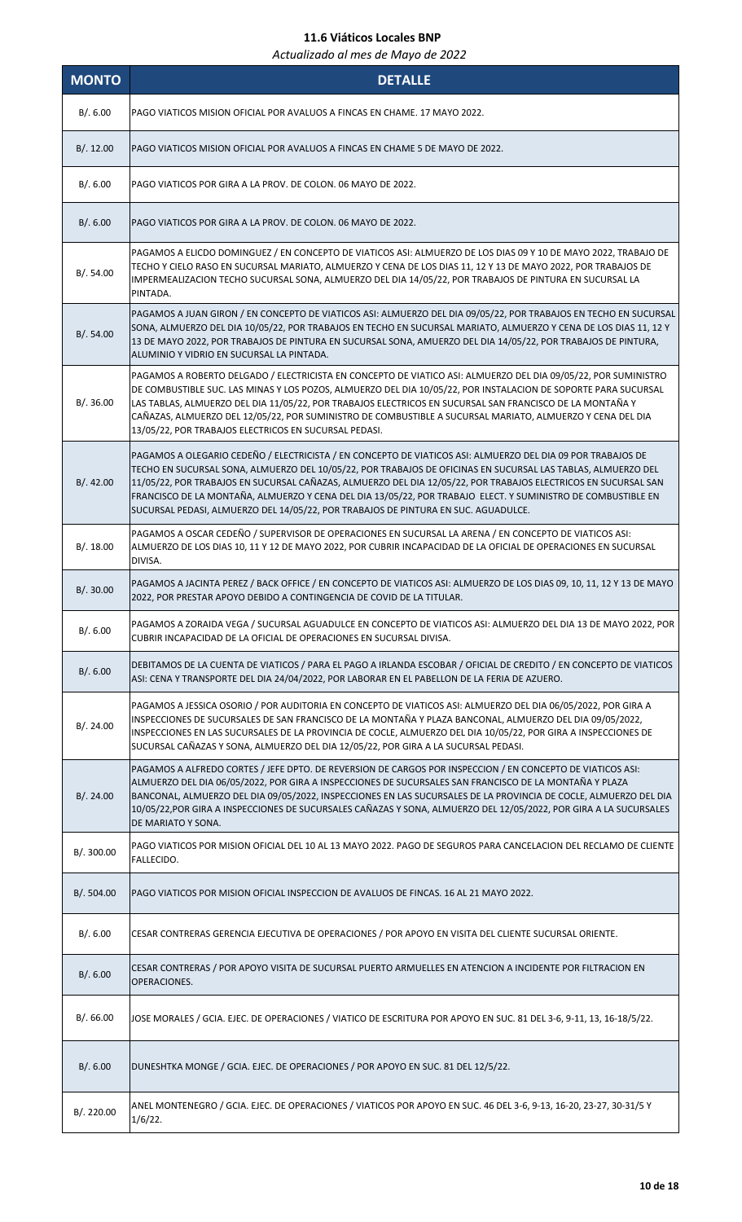| <b>MONTO</b> | <b>DETALLE</b>                                                                                                                                                                                                                                                                                                                                                                                                                                                                                                                                      |
|--------------|-----------------------------------------------------------------------------------------------------------------------------------------------------------------------------------------------------------------------------------------------------------------------------------------------------------------------------------------------------------------------------------------------------------------------------------------------------------------------------------------------------------------------------------------------------|
| B/.6.00      | PAGO VIATICOS MISION OFICIAL POR AVALUOS A FINCAS EN CHAME. 17 MAYO 2022.                                                                                                                                                                                                                                                                                                                                                                                                                                                                           |
| B/.12.00     | PAGO VIATICOS MISION OFICIAL POR AVALUOS A FINCAS EN CHAME 5 DE MAYO DE 2022.                                                                                                                                                                                                                                                                                                                                                                                                                                                                       |
| B/.6.00      | PAGO VIATICOS POR GIRA A LA PROV. DE COLON. 06 MAYO DE 2022.                                                                                                                                                                                                                                                                                                                                                                                                                                                                                        |
| B/0.6.00     | PAGO VIATICOS POR GIRA A LA PROV. DE COLON. 06 MAYO DE 2022.                                                                                                                                                                                                                                                                                                                                                                                                                                                                                        |
| B/. 54.00    | PAGAMOS A ELICDO DOMINGUEZ / EN CONCEPTO DE VIATICOS ASI: ALMUERZO DE LOS DIAS 09 Y 10 DE MAYO 2022, TRABAJO DE<br>TECHO Y CIELO RASO EN SUCURSAL MARIATO, ALMUERZO Y CENA DE LOS DIAS 11, 12 Y 13 DE MAYO 2022, POR TRABAJOS DE<br>IMPERMEALIZACION TECHO SUCURSAL SONA, ALMUERZO DEL DIA 14/05/22, POR TRABAJOS DE PINTURA EN SUCURSAL LA<br>PINTADA.                                                                                                                                                                                             |
| B/.54.00     | PAGAMOS A JUAN GIRON / EN CONCEPTO DE VIATICOS ASI: ALMUERZO DEL DIA 09/05/22, POR TRABAJOS EN TECHO EN SUCURSAL<br>SONA, ALMUERZO DEL DIA 10/05/22, POR TRABAJOS EN TECHO EN SUCURSAL MARIATO, ALMUERZO Y CENA DE LOS DIAS 11, 12 Y<br>13 DE MAYO 2022, POR TRABAJOS DE PINTURA EN SUCURSAL SONA, AMUERZO DEL DIA 14/05/22, POR TRABAJOS DE PINTURA,<br>ALUMINIO Y VIDRIO EN SUCURSAL LA PINTADA.                                                                                                                                                  |
| B/.36.00     | PAGAMOS A ROBERTO DELGADO / ELECTRICISTA EN CONCEPTO DE VIATICO ASI: ALMUERZO DEL DIA 09/05/22, POR SUMINISTRO<br>DE COMBUSTIBLE SUC. LAS MINAS Y LOS POZOS, ALMUERZO DEL DIA 10/05/22, POR INSTALACION DE SOPORTE PARA SUCURSAL<br>LAS TABLAS, ALMUERZO DEL DIA 11/05/22, POR TRABAJOS ELECTRICOS EN SUCURSAL SAN FRANCISCO DE LA MONTAÑA Y<br>CAÑAZAS, ALMUERZO DEL 12/05/22, POR SUMINISTRO DE COMBUSTIBLE A SUCURSAL MARIATO, ALMUERZO Y CENA DEL DIA<br>13/05/22, POR TRABAJOS ELECTRICOS EN SUCURSAL PEDASI.                                  |
| B/.42.00     | PAGAMOS A OLEGARIO CEDEÑO / ELECTRICISTA / EN CONCEPTO DE VIATICOS ASI: ALMUERZO DEL DIA 09 POR TRABAJOS DE<br>TECHO EN SUCURSAL SONA, ALMUERZO DEL 10/05/22, POR TRABAJOS DE OFICINAS EN SUCURSAL LAS TABLAS, ALMUERZO DEL<br>11/05/22, POR TRABAJOS EN SUCURSAL CAÑAZAS, ALMUERZO DEL DIA 12/05/22, POR TRABAJOS ELECTRICOS EN SUCURSAL SAN<br>FRANCISCO DE LA MONTAÑA, ALMUERZO Y CENA DEL DIA 13/05/22, POR TRABAJO ELECT. Y SUMINISTRO DE COMBUSTIBLE EN<br>SUCURSAL PEDASI, ALMUERZO DEL 14/05/22, POR TRABAJOS DE PINTURA EN SUC. AGUADULCE. |
| B/.18.00     | PAGAMOS A OSCAR CEDEÑO / SUPERVISOR DE OPERACIONES EN SUCURSAL LA ARENA / EN CONCEPTO DE VIATICOS ASI:<br>ALMUERZO DE LOS DIAS 10, 11 Y 12 DE MAYO 2022, POR CUBRIR INCAPACIDAD DE LA OFICIAL DE OPERACIONES EN SUCURSAL<br>DIVISA.                                                                                                                                                                                                                                                                                                                 |
| B/.30.00     | PAGAMOS A JACINTA PEREZ / BACK OFFICE / EN CONCEPTO DE VIATICOS ASI: ALMUERZO DE LOS DIAS 09, 10, 11, 12 Y 13 DE MAYO<br>2022, POR PRESTAR APOYO DEBIDO A CONTINGENCIA DE COVID DE LA TITULAR.                                                                                                                                                                                                                                                                                                                                                      |
| B/.6.00      | PAGAMOS A ZORAIDA VEGA / SUCURSAL AGUADULCE EN CONCEPTO DE VIATICOS ASI: ALMUERZO DEL DIA 13 DE MAYO 2022, POR<br>CUBRIR INCAPACIDAD DE LA OFICIAL DE OPERACIONES EN SUCURSAL DIVISA.                                                                                                                                                                                                                                                                                                                                                               |
| B/.6.00      | DEBITAMOS DE LA CUENTA DE VIATICOS / PARA EL PAGO A IRLANDA ESCOBAR / OFICIAL DE CREDITO / EN CONCEPTO DE VIATICOS<br>ASI: CENA Y TRANSPORTE DEL DIA 24/04/2022, POR LABORAR EN EL PABELLON DE LA FERIA DE AZUERO.                                                                                                                                                                                                                                                                                                                                  |
| B/.24.00     | PAGAMOS A JESSICA OSORIO / POR AUDITORIA EN CONCEPTO DE VIATICOS ASI: ALMUERZO DEL DIA 06/05/2022, POR GIRA A<br>INSPECCIONES DE SUCURSALES DE SAN FRANCISCO DE LA MONTAÑA Y PLAZA BANCONAL, ALMUERZO DEL DIA 09/05/2022,<br>INSPECCIONES EN LAS SUCURSALES DE LA PROVINCIA DE COCLE, ALMUERZO DEL DIA 10/05/22, POR GIRA A INSPECCIONES DE<br>SUCURSAL CAÑAZAS Y SONA, ALMUERZO DEL DIA 12/05/22, POR GIRA A LA SUCURSAL PEDASI.                                                                                                                   |
| B/.24.00     | PAGAMOS A ALFREDO CORTES / JEFE DPTO. DE REVERSION DE CARGOS POR INSPECCION / EN CONCEPTO DE VIATICOS ASI:<br>ALMUERZO DEL DIA 06/05/2022, POR GIRA A INSPECCIONES DE SUCURSALES SAN FRANCISCO DE LA MONTAÑA Y PLAZA<br>BANCONAL, ALMUERZO DEL DIA 09/05/2022, INSPECCIONES EN LAS SUCURSALES DE LA PROVINCIA DE COCLE, ALMUERZO DEL DIA<br>10/05/22, POR GIRA A INSPECCIONES DE SUCURSALES CAÑAZAS Y SONA, ALMUERZO DEL 12/05/2022, POR GIRA A LA SUCURSALES<br>DE MARIATO Y SONA.                                                                 |
| B/.300.00    | PAGO VIATICOS POR MISION OFICIAL DEL 10 AL 13 MAYO 2022. PAGO DE SEGUROS PARA CANCELACION DEL RECLAMO DE CLIENTE<br>FALLECIDO.                                                                                                                                                                                                                                                                                                                                                                                                                      |
| B/.504.00    | PAGO VIATICOS POR MISION OFICIAL INSPECCION DE AVALUOS DE FINCAS. 16 AL 21 MAYO 2022.                                                                                                                                                                                                                                                                                                                                                                                                                                                               |
| B/.6.00      | CESAR CONTRERAS GERENCIA EJECUTIVA DE OPERACIONES / POR APOYO EN VISITA DEL CLIENTE SUCURSAL ORIENTE.                                                                                                                                                                                                                                                                                                                                                                                                                                               |
| B/.6.00      | CESAR CONTRERAS / POR APOYO VISITA DE SUCURSAL PUERTO ARMUELLES EN ATENCION A INCIDENTE POR FILTRACION EN<br>OPERACIONES.                                                                                                                                                                                                                                                                                                                                                                                                                           |
| B/0.66.00    | JOSE MORALES / GCIA. EJEC. DE OPERACIONES / VIATICO DE ESCRITURA POR APOYO EN SUC. 81 DEL 3-6, 9-11, 13, 16-18/5/22.                                                                                                                                                                                                                                                                                                                                                                                                                                |
| B/.6.00      | DUNESHTKA MONGE / GCIA. EJEC. DE OPERACIONES / POR APOYO EN SUC. 81 DEL 12/5/22.                                                                                                                                                                                                                                                                                                                                                                                                                                                                    |
| B/. 220.00   | ANEL MONTENEGRO / GCIA. EJEC. DE OPERACIONES / VIATICOS POR APOYO EN SUC. 46 DEL 3-6, 9-13, 16-20, 23-27, 30-31/5 Y<br>$1/6/22$ .                                                                                                                                                                                                                                                                                                                                                                                                                   |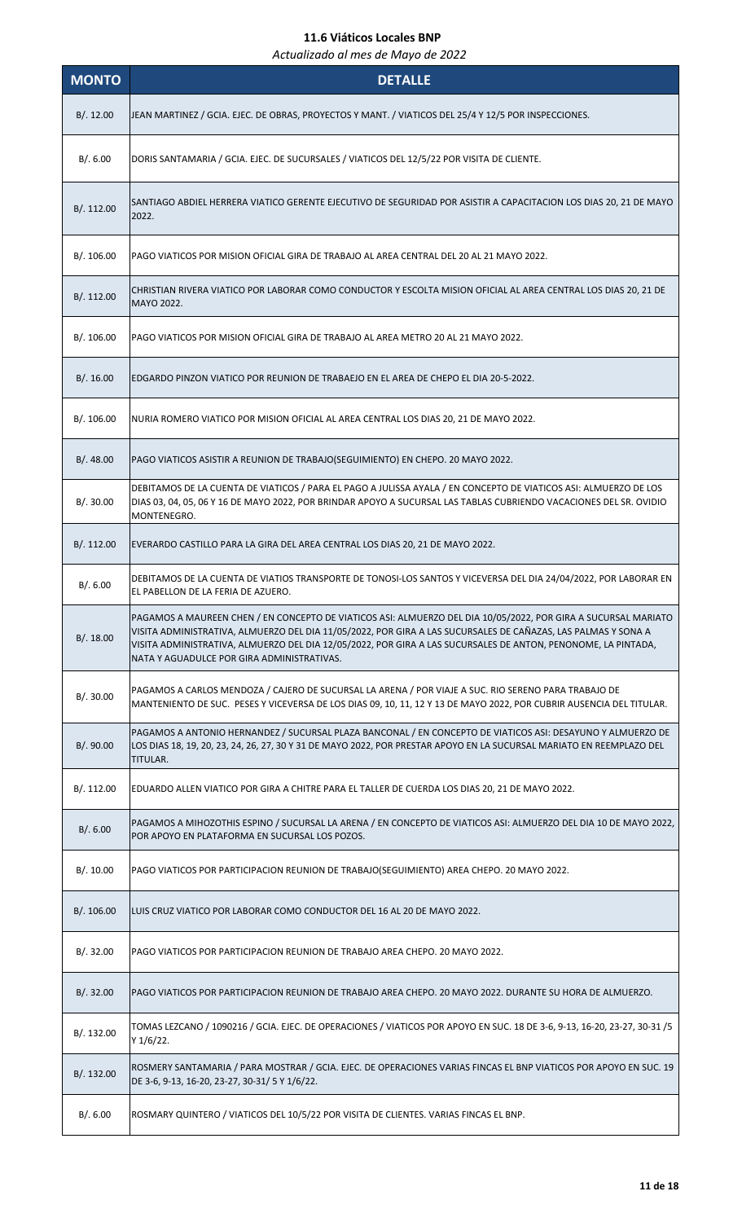| <b>MONTO</b> | <b>DETALLE</b>                                                                                                                                                                                                                                                                                                                                                                                 |
|--------------|------------------------------------------------------------------------------------------------------------------------------------------------------------------------------------------------------------------------------------------------------------------------------------------------------------------------------------------------------------------------------------------------|
| B/.12.00     | JEAN MARTINEZ / GCIA. EJEC. DE OBRAS, PROYECTOS Y MANT. / VIATICOS DEL 25/4 Y 12/5 POR INSPECCIONES.                                                                                                                                                                                                                                                                                           |
| B/.6.00      | DORIS SANTAMARIA / GCIA. EJEC. DE SUCURSALES / VIATICOS DEL 12/5/22 POR VISITA DE CLIENTE.                                                                                                                                                                                                                                                                                                     |
| B/.112.00    | SANTIAGO ABDIEL HERRERA VIATICO GERENTE EJECUTIVO DE SEGURIDAD POR ASISTIR A CAPACITACION LOS DIAS 20, 21 DE MAYO<br>2022.                                                                                                                                                                                                                                                                     |
| B/. 106.00   | PAGO VIATICOS POR MISION OFICIAL GIRA DE TRABAJO AL AREA CENTRAL DEL 20 AL 21 MAYO 2022.                                                                                                                                                                                                                                                                                                       |
| B/.112.00    | CHRISTIAN RIVERA VIATICO POR LABORAR COMO CONDUCTOR Y ESCOLTA MISION OFICIAL AL AREA CENTRAL LOS DIAS 20, 21 DE<br>MAYO 2022.                                                                                                                                                                                                                                                                  |
| B/. 106.00   | PAGO VIATICOS POR MISION OFICIAL GIRA DE TRABAJO AL AREA METRO 20 AL 21 MAYO 2022.                                                                                                                                                                                                                                                                                                             |
| B/.16.00     | EDGARDO PINZON VIATICO POR REUNION DE TRABAEJO EN EL AREA DE CHEPO EL DIA 20-5-2022.                                                                                                                                                                                                                                                                                                           |
| B/. 106.00   | NURIA ROMERO VIATICO POR MISION OFICIAL AL AREA CENTRAL LOS DIAS 20, 21 DE MAYO 2022.                                                                                                                                                                                                                                                                                                          |
| B/0.48.00    | PAGO VIATICOS ASISTIR A REUNION DE TRABAJO(SEGUIMIENTO) EN CHEPO. 20 MAYO 2022.                                                                                                                                                                                                                                                                                                                |
| B/.30.00     | DEBITAMOS DE LA CUENTA DE VIATICOS / PARA EL PAGO A JULISSA AYALA / EN CONCEPTO DE VIATICOS ASI: ALMUERZO DE LOS<br>DIAS 03, 04, 05, 06 Y 16 DE MAYO 2022, POR BRINDAR APOYO A SUCURSAL LAS TABLAS CUBRIENDO VACACIONES DEL SR. OVIDIO<br>MONTENEGRO.                                                                                                                                          |
| B/. 112.00   | EVERARDO CASTILLO PARA LA GIRA DEL AREA CENTRAL LOS DIAS 20, 21 DE MAYO 2022.                                                                                                                                                                                                                                                                                                                  |
| B/. 6.00     | DEBITAMOS DE LA CUENTA DE VIATIOS TRANSPORTE DE TONOSI-LOS SANTOS Y VICEVERSA DEL DIA 24/04/2022, POR LABORAR EN<br>EL PABELLON DE LA FERIA DE AZUERO.                                                                                                                                                                                                                                         |
| B/.18.00     | PAGAMOS A MAUREEN CHEN / EN CONCEPTO DE VIATICOS ASI: ALMUERZO DEL DIA 10/05/2022, POR GIRA A SUCURSAL MARIATO<br>VISITA ADMINISTRATIVA, ALMUERZO DEL DIA 11/05/2022, POR GIRA A LAS SUCURSALES DE CAÑAZAS, LAS PALMAS Y SONA A<br>VISITA ADMINISTRATIVA, ALMUERZO DEL DIA 12/05/2022, POR GIRA A LAS SUCURSALES DE ANTON, PENONOME, LA PINTADA,<br>NATA Y AGUADULCE POR GIRA ADMINISTRATIVAS. |
| B/.30.00     | PAGAMOS A CARLOS MENDOZA / CAJERO DE SUCURSAL LA ARENA / POR VIAJE A SUC. RIO SERENO PARA TRABAJO DE<br>MANTENIENTO DE SUC. PESES Y VICEVERSA DE LOS DIAS 09, 10, 11, 12 Y 13 DE MAYO 2022, POR CUBRIR AUSENCIA DEL TITULAR.                                                                                                                                                                   |
| B/.90.00     | PAGAMOS A ANTONIO HERNANDEZ / SUCURSAL PLAZA BANCONAL / EN CONCEPTO DE VIATICOS ASI: DESAYUNO Y ALMUERZO DE<br>LOS DIAS 18, 19, 20, 23, 24, 26, 27, 30 Y 31 DE MAYO 2022, POR PRESTAR APOYO EN LA SUCURSAL MARIATO EN REEMPLAZO DEL<br>TITULAR.                                                                                                                                                |
| B/. 112.00   | EDUARDO ALLEN VIATICO POR GIRA A CHITRE PARA EL TALLER DE CUERDA LOS DIAS 20, 21 DE MAYO 2022.                                                                                                                                                                                                                                                                                                 |
| B/.6.00      | PAGAMOS A MIHOZOTHIS ESPINO / SUCURSAL LA ARENA / EN CONCEPTO DE VIATICOS ASI: ALMUERZO DEL DIA 10 DE MAYO 2022,<br>POR APOYO EN PLATAFORMA EN SUCURSAL LOS POZOS.                                                                                                                                                                                                                             |
| B/.10.00     | PAGO VIATICOS POR PARTICIPACION REUNION DE TRABAJO(SEGUIMIENTO) AREA CHEPO. 20 MAYO 2022.                                                                                                                                                                                                                                                                                                      |
| B/.106.00    | LUIS CRUZ VIATICO POR LABORAR COMO CONDUCTOR DEL 16 AL 20 DE MAYO 2022.                                                                                                                                                                                                                                                                                                                        |
| B/.32.00     | PAGO VIATICOS POR PARTICIPACION REUNION DE TRABAJO AREA CHEPO. 20 MAYO 2022.                                                                                                                                                                                                                                                                                                                   |
| B/.32.00     | PAGO VIATICOS POR PARTICIPACION REUNION DE TRABAJO AREA CHEPO. 20 MAYO 2022. DURANTE SU HORA DE ALMUERZO.                                                                                                                                                                                                                                                                                      |
| B/. 132.00   | TOMAS LEZCANO / 1090216 / GCIA. EJEC. DE OPERACIONES / VIATICOS POR APOYO EN SUC. 18 DE 3-6, 9-13, 16-20, 23-27, 30-31 /5<br>Y 1/6/22.                                                                                                                                                                                                                                                         |
| B/. 132.00   | ROSMERY SANTAMARIA / PARA MOSTRAR / GCIA. EJEC. DE OPERACIONES VARIAS FINCAS EL BNP VIATICOS POR APOYO EN SUC. 19<br>DE 3-6, 9-13, 16-20, 23-27, 30-31/ 5 Y 1/6/22.                                                                                                                                                                                                                            |
| B/0.6.00     | ROSMARY QUINTERO / VIATICOS DEL 10/5/22 POR VISITA DE CLIENTES. VARIAS FINCAS EL BNP.                                                                                                                                                                                                                                                                                                          |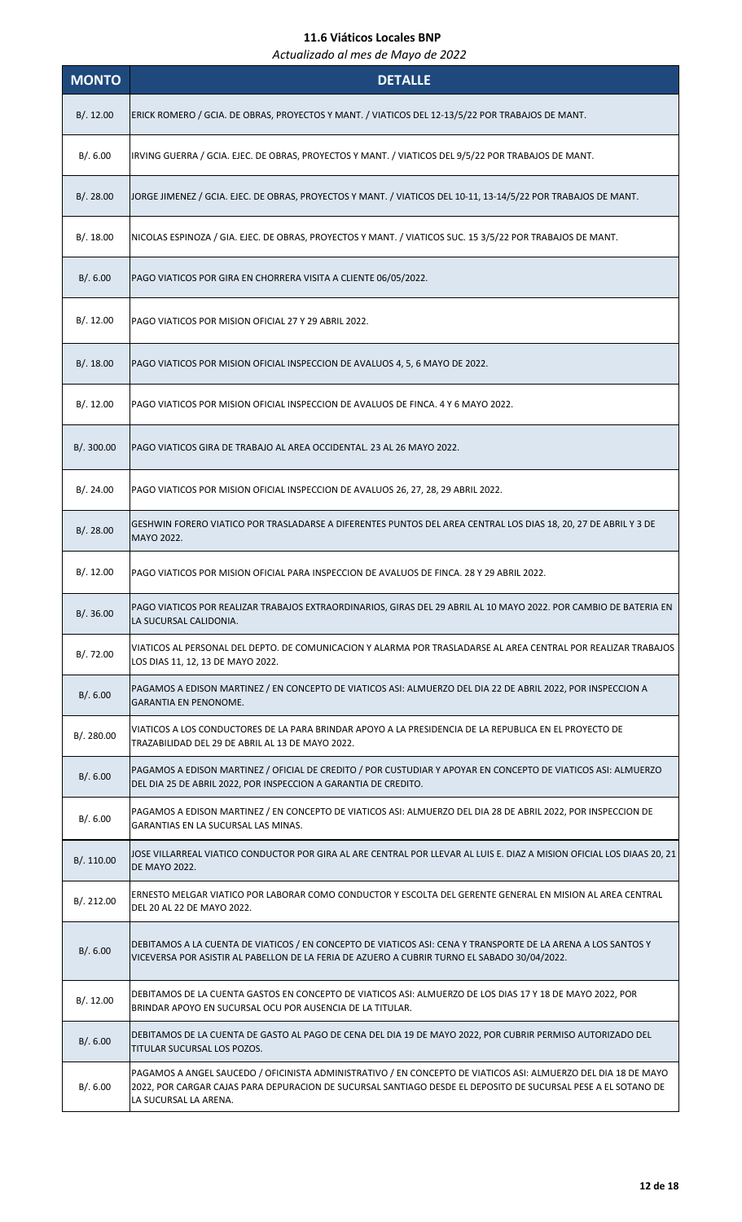| <b>MONTO</b> | <b>DETALLE</b>                                                                                                                                                                                                                                           |
|--------------|----------------------------------------------------------------------------------------------------------------------------------------------------------------------------------------------------------------------------------------------------------|
| B/.12.00     | ERICK ROMERO / GCIA. DE OBRAS, PROYECTOS Y MANT. / VIATICOS DEL 12-13/5/22 POR TRABAJOS DE MANT.                                                                                                                                                         |
| B/.6.00      | IRVING GUERRA / GCIA. EJEC. DE OBRAS, PROYECTOS Y MANT. / VIATICOS DEL 9/5/22 POR TRABAJOS DE MANT.                                                                                                                                                      |
| B/.28.00     | JORGE JIMENEZ / GCIA. EJEC. DE OBRAS, PROYECTOS Y MANT. / VIATICOS DEL 10-11, 13-14/5/22 POR TRABAJOS DE MANT.                                                                                                                                           |
| B/.18.00     | NICOLAS ESPINOZA / GIA. EJEC. DE OBRAS, PROYECTOS Y MANT. / VIATICOS SUC. 15 3/5/22 POR TRABAJOS DE MANT.                                                                                                                                                |
| B/0.6.00     | PAGO VIATICOS POR GIRA EN CHORRERA VISITA A CLIENTE 06/05/2022.                                                                                                                                                                                          |
| B/.12.00     | PAGO VIATICOS POR MISION OFICIAL 27 Y 29 ABRIL 2022.                                                                                                                                                                                                     |
| B/.18.00     | PAGO VIATICOS POR MISION OFICIAL INSPECCION DE AVALUOS 4, 5, 6 MAYO DE 2022.                                                                                                                                                                             |
| B/.12.00     | PAGO VIATICOS POR MISION OFICIAL INSPECCION DE AVALUOS DE FINCA. 4 Y 6 MAYO 2022.                                                                                                                                                                        |
| B/. 300.00   | PAGO VIATICOS GIRA DE TRABAJO AL AREA OCCIDENTAL. 23 AL 26 MAYO 2022.                                                                                                                                                                                    |
| B/.24.00     | PAGO VIATICOS POR MISION OFICIAL INSPECCION DE AVALUOS 26, 27, 28, 29 ABRIL 2022.                                                                                                                                                                        |
| B/.28.00     | GESHWIN FORERO VIATICO POR TRASLADARSE A DIFERENTES PUNTOS DEL AREA CENTRAL LOS DIAS 18, 20, 27 DE ABRIL Y 3 DE<br>MAYO 2022.                                                                                                                            |
| B/.12.00     | PAGO VIATICOS POR MISION OFICIAL PARA INSPECCION DE AVALUOS DE FINCA. 28 Y 29 ABRIL 2022.                                                                                                                                                                |
| B/.36.00     | PAGO VIATICOS POR REALIZAR TRABAJOS EXTRAORDINARIOS, GIRAS DEL 29 ABRIL AL 10 MAYO 2022. POR CAMBIO DE BATERIA EN<br>LA SUCURSAL CALIDONIA.                                                                                                              |
| B/. 72.00    | VIATICOS AL PERSONAL DEL DEPTO. DE COMUNICACION Y ALARMA POR TRASLADARSE AL AREA CENTRAL POR REALIZAR TRABAJOS<br>LOS DIAS 11, 12, 13 DE MAYO 2022.                                                                                                      |
| B/0.6.00     | PAGAMOS A EDISON MARTINEZ / EN CONCEPTO DE VIATICOS ASI: ALMUERZO DEL DIA 22 DE ABRIL 2022, POR INSPECCION A<br><b>GARANTIA EN PENONOME.</b>                                                                                                             |
| B/. 280.00   | VIATICOS A LOS CONDUCTORES DE LA PARA BRINDAR APOYO A LA PRESIDENCIA DE LA REPUBLICA EN EL PROYECTO DE<br>TRAZABILIDAD DEL 29 DE ABRIL AL 13 DE MAYO 2022.                                                                                               |
| B/0.6.00     | PAGAMOS A EDISON MARTINEZ / OFICIAL DE CREDITO / POR CUSTUDIAR Y APOYAR EN CONCEPTO DE VIATICOS ASI: ALMUERZO<br>DEL DIA 25 DE ABRIL 2022, POR INSPECCION A GARANTIA DE CREDITO.                                                                         |
| B/.6.00      | PAGAMOS A EDISON MARTINEZ / EN CONCEPTO DE VIATICOS ASI: ALMUERZO DEL DIA 28 DE ABRIL 2022, POR INSPECCION DE<br>GARANTIAS EN LA SUCURSAL LAS MINAS.                                                                                                     |
| B/. 110.00   | JOSE VILLARREAL VIATICO CONDUCTOR POR GIRA AL ARE CENTRAL POR LLEVAR AL LUIS E. DIAZ A MISION OFICIAL LOS DIAAS 20, 21<br>DE MAYO 2022.                                                                                                                  |
| B/. 212.00   | ERNESTO MELGAR VIATICO POR LABORAR COMO CONDUCTOR Y ESCOLTA DEL GERENTE GENERAL EN MISION AL AREA CENTRAL<br>DEL 20 AL 22 DE MAYO 2022.                                                                                                                  |
| B/.6.00      | DEBITAMOS A LA CUENTA DE VIATICOS / EN CONCEPTO DE VIATICOS ASI: CENA Y TRANSPORTE DE LA ARENA A LOS SANTOS Y<br>VICEVERSA POR ASISTIR AL PABELLON DE LA FERIA DE AZUERO A CUBRIR TURNO EL SABADO 30/04/2022.                                            |
| B/.12.00     | DEBITAMOS DE LA CUENTA GASTOS EN CONCEPTO DE VIATICOS ASI: ALMUERZO DE LOS DIAS 17 Y 18 DE MAYO 2022, POR<br>BRINDAR APOYO EN SUCURSAL OCU POR AUSENCIA DE LA TITULAR.                                                                                   |
| B/.6.00      | DEBITAMOS DE LA CUENTA DE GASTO AL PAGO DE CENA DEL DIA 19 DE MAYO 2022, POR CUBRIR PERMISO AUTORIZADO DEL<br>TITULAR SUCURSAL LOS POZOS.                                                                                                                |
| B/.6.00      | PAGAMOS A ANGEL SAUCEDO / OFICINISTA ADMINISTRATIVO / EN CONCEPTO DE VIATICOS ASI: ALMUERZO DEL DIA 18 DE MAYO<br>2022, POR CARGAR CAJAS PARA DEPURACION DE SUCURSAL SANTIAGO DESDE EL DEPOSITO DE SUCURSAL PESE A EL SOTANO DE<br>LA SUCURSAL LA ARENA. |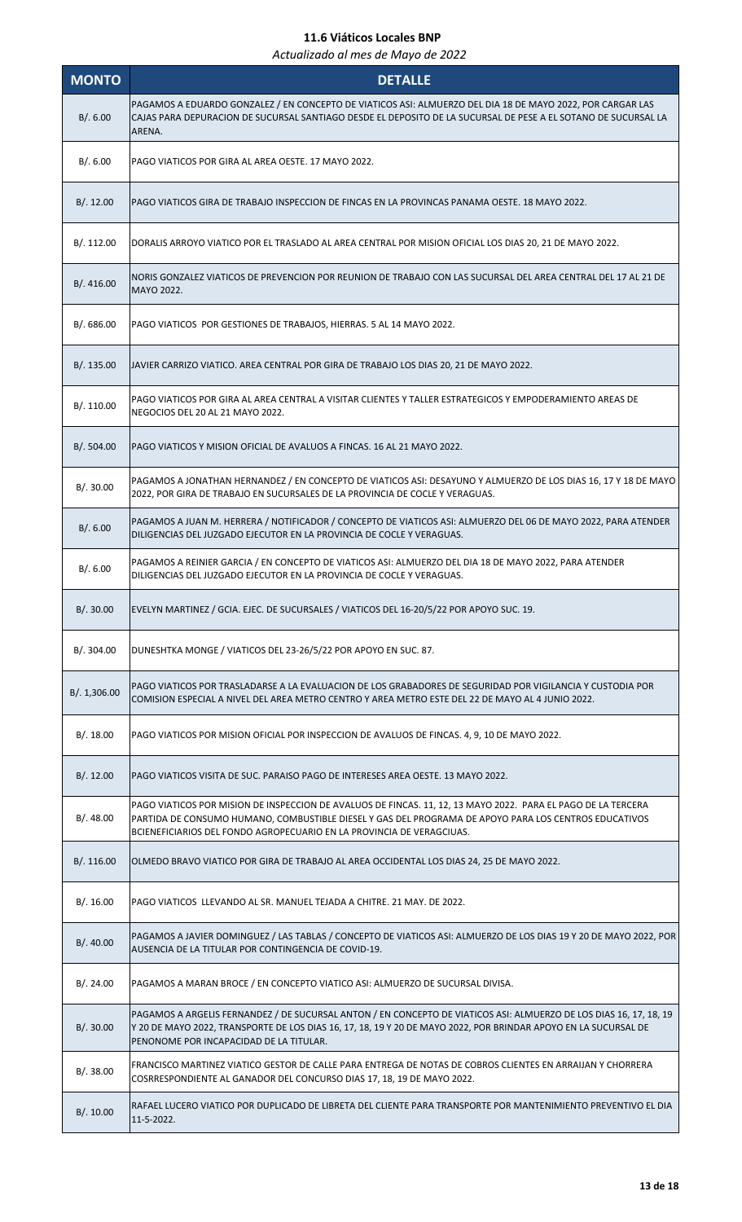| <b>MONTO</b> | <b>DETALLE</b>                                                                                                                                                                                                                                                                                  |
|--------------|-------------------------------------------------------------------------------------------------------------------------------------------------------------------------------------------------------------------------------------------------------------------------------------------------|
| B/.6.00      | PAGAMOS A EDUARDO GONZALEZ / EN CONCEPTO DE VIATICOS ASI: ALMUERZO DEL DIA 18 DE MAYO 2022, POR CARGAR LAS<br>CAJAS PARA DEPURACION DE SUCURSAL SANTIAGO DESDE EL DEPOSITO DE LA SUCURSAL DE PESE A EL SOTANO DE SUCURSAL LA<br>ARENA.                                                          |
| B/.6.00      | PAGO VIATICOS POR GIRA AL AREA OESTE. 17 MAYO 2022.                                                                                                                                                                                                                                             |
| B/.12.00     | PAGO VIATICOS GIRA DE TRABAJO INSPECCION DE FINCAS EN LA PROVINCAS PANAMA OESTE. 18 MAYO 2022.                                                                                                                                                                                                  |
| B/.112.00    | DORALIS ARROYO VIATICO POR EL TRASLADO AL AREA CENTRAL POR MISION OFICIAL LOS DIAS 20, 21 DE MAYO 2022.                                                                                                                                                                                         |
| B/.416.00    | NORIS GONZALEZ VIATICOS DE PREVENCION POR REUNION DE TRABAJO CON LAS SUCURSAL DEL AREA CENTRAL DEL 17 AL 21 DE<br>MAYO 2022.                                                                                                                                                                    |
| B/. 686.00   | PAGO VIATICOS POR GESTIONES DE TRABAJOS, HIERRAS. 5 AL 14 MAYO 2022.                                                                                                                                                                                                                            |
| B/.135.00    | JAVIER CARRIZO VIATICO. AREA CENTRAL POR GIRA DE TRABAJO LOS DIAS 20, 21 DE MAYO 2022.                                                                                                                                                                                                          |
| B/.110.00    | PAGO VIATICOS POR GIRA AL AREA CENTRAL A VISITAR CLIENTES Y TALLER ESTRATEGICOS Y EMPODERAMIENTO AREAS DE<br>NEGOCIOS DEL 20 AL 21 MAYO 2022.                                                                                                                                                   |
| B/. 504.00   | PAGO VIATICOS Y MISION OFICIAL DE AVALUOS A FINCAS. 16 AL 21 MAYO 2022.                                                                                                                                                                                                                         |
| B/.30.00     | PAGAMOS A JONATHAN HERNANDEZ / EN CONCEPTO DE VIATICOS ASI: DESAYUNO Y ALMUERZO DE LOS DIAS 16, 17 Y 18 DE MAYO<br>2022, POR GIRA DE TRABAJO EN SUCURSALES DE LA PROVINCIA DE COCLE Y VERAGUAS.                                                                                                 |
| B/0.6.00     | PAGAMOS A JUAN M. HERRERA / NOTIFICADOR / CONCEPTO DE VIATICOS ASI: ALMUERZO DEL 06 DE MAYO 2022, PARA ATENDER<br>DILIGENCIAS DEL JUZGADO EJECUTOR EN LA PROVINCIA DE COCLE Y VERAGUAS.                                                                                                         |
| B/.6.00      | PAGAMOS A REINIER GARCIA / EN CONCEPTO DE VIATICOS ASI: ALMUERZO DEL DIA 18 DE MAYO 2022, PARA ATENDER<br>DILIGENCIAS DEL JUZGADO EJECUTOR EN LA PROVINCIA DE COCLE Y VERAGUAS.                                                                                                                 |
| B/.30.00     | EVELYN MARTINEZ / GCIA. EJEC. DE SUCURSALES / VIATICOS DEL 16-20/5/22 POR APOYO SUC. 19.                                                                                                                                                                                                        |
| B/.304.00    | DUNESHTKA MONGE / VIATICOS DEL 23-26/5/22 POR APOYO EN SUC. 87.                                                                                                                                                                                                                                 |
| B/. 1,306.00 | PAGO VIATICOS POR TRASLADARSE A LA EVALUACION DE LOS GRABADORES DE SEGURIDAD POR VIGILANCIA Y CUSTODIA POR<br>COMISION ESPECIAL A NIVEL DEL AREA METRO CENTRO Y AREA METRO ESTE DEL 22 DE MAYO AL 4 JUNIO 2022.                                                                                 |
| B/.18.00     | PAGO VIATICOS POR MISION OFICIAL POR INSPECCION DE AVALUOS DE FINCAS. 4, 9, 10 DE MAYO 2022.                                                                                                                                                                                                    |
| B/.12.00     | PAGO VIATICOS VISITA DE SUC. PARAISO PAGO DE INTERESES AREA OESTE. 13 MAYO 2022.                                                                                                                                                                                                                |
| B/.48.00     | PAGO VIATICOS POR MISION DE INSPECCION DE AVALUOS DE FINCAS. 11, 12, 13 MAYO 2022. PARA EL PAGO DE LA TERCERA<br>PARTIDA DE CONSUMO HUMANO, COMBUSTIBLE DIESEL Y GAS DEL PROGRAMA DE APOYO PARA LOS CENTROS EDUCATIVOS<br>BCIENEFICIARIOS DEL FONDO AGROPECUARIO EN LA PROVINCIA DE VERAGCIUAS. |
| B/.116.00    | OLMEDO BRAVO VIATICO POR GIRA DE TRABAJO AL AREA OCCIDENTAL LOS DIAS 24, 25 DE MAYO 2022.                                                                                                                                                                                                       |
| B/.16.00     | PAGO VIATICOS LLEVANDO AL SR. MANUEL TEJADA A CHITRE. 21 MAY. DE 2022.                                                                                                                                                                                                                          |
| B/.40.00     | PAGAMOS A JAVIER DOMINGUEZ / LAS TABLAS / CONCEPTO DE VIATICOS ASI: ALMUERZO DE LOS DIAS 19 Y 20 DE MAYO 2022, POR<br>AUSENCIA DE LA TITULAR POR CONTINGENCIA DE COVID-19.                                                                                                                      |
| B/.24.00     | PAGAMOS A MARAN BROCE / EN CONCEPTO VIATICO ASI: ALMUERZO DE SUCURSAL DIVISA.                                                                                                                                                                                                                   |
| B/.30.00     | PAGAMOS A ARGELIS FERNANDEZ / DE SUCURSAL ANTON / EN CONCEPTO DE VIATICOS ASI: ALMUERZO DE LOS DIAS 16, 17, 18, 19<br>Y 20 DE MAYO 2022, TRANSPORTE DE LOS DIAS 16, 17, 18, 19 Y 20 DE MAYO 2022, POR BRINDAR APOYO EN LA SUCURSAL DE<br>PENONOME POR INCAPACIDAD DE LA TITULAR.                |
| B/.38.00     | FRANCISCO MARTINEZ VIATICO GESTOR DE CALLE PARA ENTREGA DE NOTAS DE COBROS CLIENTES EN ARRAIJAN Y CHORRERA<br>COSRRESPONDIENTE AL GANADOR DEL CONCURSO DIAS 17, 18, 19 DE MAYO 2022.                                                                                                            |
| B/.10.00     | RAFAEL LUCERO VIATICO POR DUPLICADO DE LIBRETA DEL CLIENTE PARA TRANSPORTE POR MANTENIMIENTO PREVENTIVO EL DIA<br>11-5-2022.                                                                                                                                                                    |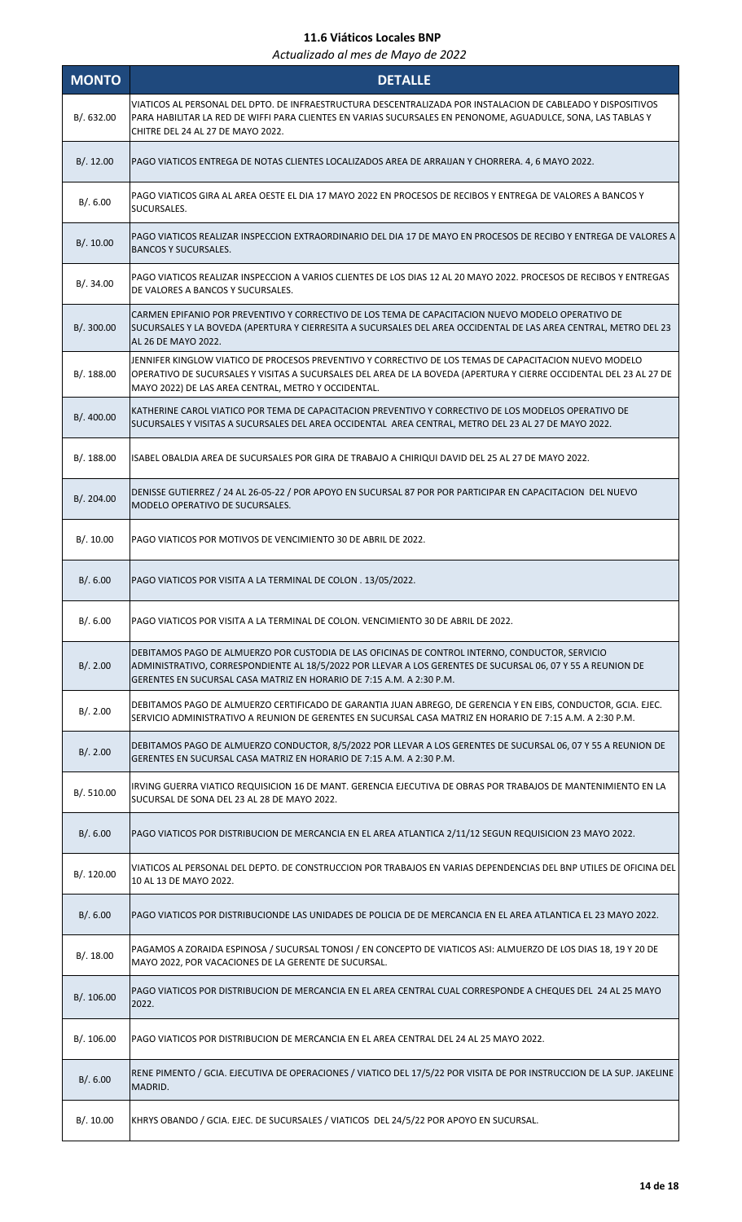| <b>MONTO</b> | <b>DETALLE</b>                                                                                                                                                                                                                                                                         |
|--------------|----------------------------------------------------------------------------------------------------------------------------------------------------------------------------------------------------------------------------------------------------------------------------------------|
| B/0.632.00   | VIATICOS AL PERSONAL DEL DPTO. DE INFRAESTRUCTURA DESCENTRALIZADA POR INSTALACION DE CABLEADO Y DISPOSITIVOS<br>PARA HABILITAR LA RED DE WIFFI PARA CLIENTES EN VARIAS SUCURSALES EN PENONOME, AGUADULCE, SONA, LAS TABLAS Y<br>CHITRE DEL 24 AL 27 DE MAYO 2022.                      |
| B/.12.00     | PAGO VIATICOS ENTREGA DE NOTAS CLIENTES LOCALIZADOS AREA DE ARRAIJAN Y CHORRERA. 4, 6 MAYO 2022.                                                                                                                                                                                       |
| B/.6.00      | PAGO VIATICOS GIRA AL AREA OESTE EL DIA 17 MAYO 2022 EN PROCESOS DE RECIBOS Y ENTREGA DE VALORES A BANCOS Y<br>SUCURSALES.                                                                                                                                                             |
| B/.10.00     | PAGO VIATICOS REALIZAR INSPECCION EXTRAORDINARIO DEL DIA 17 DE MAYO EN PROCESOS DE RECIBO Y ENTREGA DE VALORES A<br><b>BANCOS Y SUCURSALES.</b>                                                                                                                                        |
| B/.34.00     | PAGO VIATICOS REALIZAR INSPECCION A VARIOS CLIENTES DE LOS DIAS 12 AL 20 MAYO 2022. PROCESOS DE RECIBOS Y ENTREGAS<br>DE VALORES A BANCOS Y SUCURSALES.                                                                                                                                |
| B/. 300.00   | CARMEN EPIFANIO POR PREVENTIVO Y CORRECTIVO DE LOS TEMA DE CAPACITACION NUEVO MODELO OPERATIVO DE<br>SUCURSALES Y LA BOVEDA (APERTURA Y CIERRESITA A SUCURSALES DEL AREA OCCIDENTAL DE LAS AREA CENTRAL, METRO DEL 23<br>AL 26 DE MAYO 2022.                                           |
| B/. 188.00   | JENNIFER KINGLOW VIATICO DE PROCESOS PREVENTIVO Y CORRECTIVO DE LOS TEMAS DE CAPACITACION NUEVO MODELO<br>OPERATIVO DE SUCURSALES Y VISITAS A SUCURSALES DEL AREA DE LA BOVEDA (APERTURA Y CIERRE OCCIDENTAL DEL 23 AL 27 DE<br>MAYO 2022) DE LAS AREA CENTRAL, METRO Y OCCIDENTAL.    |
| B/. 400.00   | KATHERINE CAROL VIATICO POR TEMA DE CAPACITACION PREVENTIVO Y CORRECTIVO DE LOS MODELOS OPERATIVO DE<br>SUCURSALES Y VISITAS A SUCURSALES DEL AREA OCCIDENTAL  AREA CENTRAL, METRO DEL 23 AL 27 DE MAYO 2022.                                                                          |
| B/. 188.00   | ISABEL OBALDIA AREA DE SUCURSALES POR GIRA DE TRABAJO A CHIRIQUI DAVID DEL 25 AL 27 DE MAYO 2022.                                                                                                                                                                                      |
| B/. 204.00   | DENISSE GUTIERREZ / 24 AL 26-05-22 / POR APOYO EN SUCURSAL 87 POR POR PARTICIPAR EN CAPACITACION DEL NUEVO<br>MODELO OPERATIVO DE SUCURSALES.                                                                                                                                          |
| B/.10.00     | PAGO VIATICOS POR MOTIVOS DE VENCIMIENTO 30 DE ABRIL DE 2022.                                                                                                                                                                                                                          |
| B/.6.00      | PAGO VIATICOS POR VISITA A LA TERMINAL DE COLON. 13/05/2022.                                                                                                                                                                                                                           |
| B/.6.00      | PAGO VIATICOS POR VISITA A LA TERMINAL DE COLON. VENCIMIENTO 30 DE ABRIL DE 2022.                                                                                                                                                                                                      |
| B/.2.00      | DEBITAMOS PAGO DE ALMUERZO POR CUSTODIA DE LAS OFICINAS DE CONTROL INTERNO, CONDUCTOR, SERVICIO<br>ADMINISTRATIVO, CORRESPONDIENTE AL 18/5/2022 POR LLEVAR A LOS GERENTES DE SUCURSAL 06, 07 Y 55 A REUNION DE<br>GERENTES EN SUCURSAL CASA MATRIZ EN HORARIO DE 7:15 A.M. A 2:30 P.M. |
| B/.2.00      | DEBITAMOS PAGO DE ALMUERZO CERTIFICADO DE GARANTIA JUAN ABREGO, DE GERENCIA Y EN EIBS, CONDUCTOR, GCIA. EJEC.<br>SERVICIO ADMINISTRATIVO A REUNION DE GERENTES EN SUCURSAL CASA MATRIZ EN HORARIO DE 7:15 A.M. A 2:30 P.M.                                                             |
| B/.2.00      | DEBITAMOS PAGO DE ALMUERZO CONDUCTOR, 8/5/2022 POR LLEVAR A LOS GERENTES DE SUCURSAL 06, 07 Y 55 A REUNION DE<br>GERENTES EN SUCURSAL CASA MATRIZ EN HORARIO DE 7:15 A.M. A 2:30 P.M.                                                                                                  |
| B/.510.00    | IRVING GUERRA VIATICO REQUISICION 16 DE MANT. GERENCIA EJECUTIVA DE OBRAS POR TRABAJOS DE MANTENIMIENTO EN LA<br>SUCURSAL DE SONA DEL 23 AL 28 DE MAYO 2022.                                                                                                                           |
| B/.6.00      | PAGO VIATICOS POR DISTRIBUCION DE MERCANCIA EN EL AREA ATLANTICA 2/11/12 SEGUN REQUISICION 23 MAYO 2022.                                                                                                                                                                               |
| B/. 120.00   | VIATICOS AL PERSONAL DEL DEPTO. DE CONSTRUCCION POR TRABAJOS EN VARIAS DEPENDENCIAS DEL BNP UTILES DE OFICINA DEL<br>10 AL 13 DE MAYO 2022.                                                                                                                                            |
| B/.6.00      | PAGO VIATICOS POR DISTRIBUCIONDE LAS UNIDADES DE POLICIA DE DE MERCANCIA EN EL AREA ATLANTICA EL 23 MAYO 2022.                                                                                                                                                                         |
| B/.18.00     | PAGAMOS A ZORAIDA ESPINOSA / SUCURSAL TONOSI / EN CONCEPTO DE VIATICOS ASI: ALMUERZO DE LOS DIAS 18, 19 Y 20 DE<br>MAYO 2022, POR VACACIONES DE LA GERENTE DE SUCURSAL.                                                                                                                |
| B/.106.00    | PAGO VIATICOS POR DISTRIBUCION DE MERCANCIA EN EL AREA CENTRAL CUAL CORRESPONDE A CHEQUES DEL 24 AL 25 MAYO<br>2022.                                                                                                                                                                   |
| B/. 106.00   | PAGO VIATICOS POR DISTRIBUCION DE MERCANCIA EN EL AREA CENTRAL DEL 24 AL 25 MAYO 2022.                                                                                                                                                                                                 |
| B/.6.00      | RENE PIMENTO / GCIA. EJECUTIVA DE OPERACIONES / VIATICO DEL 17/5/22 POR VISITA DE POR INSTRUCCION DE LA SUP. JAKELINE<br>MADRID.                                                                                                                                                       |
| B/. 10.00    | KHRYS OBANDO / GCIA. EJEC. DE SUCURSALES / VIATICOS DEL 24/5/22 POR APOYO EN SUCURSAL.                                                                                                                                                                                                 |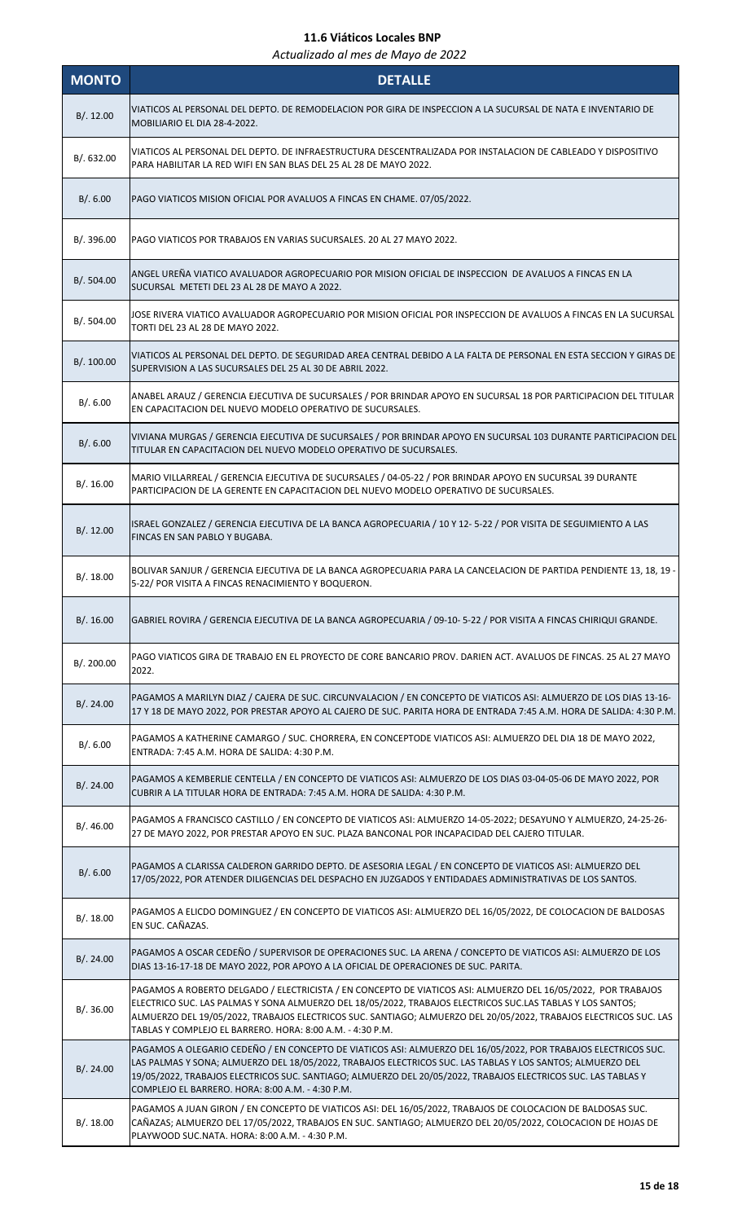| <b>MONTO</b> | <b>DETALLE</b>                                                                                                                                                                                                                                                                                                                                                                                                |
|--------------|---------------------------------------------------------------------------------------------------------------------------------------------------------------------------------------------------------------------------------------------------------------------------------------------------------------------------------------------------------------------------------------------------------------|
| B/.12.00     | VIATICOS AL PERSONAL DEL DEPTO. DE REMODELACION POR GIRA DE INSPECCION A LA SUCURSAL DE NATA E INVENTARIO DE<br>MOBILIARIO EL DIA 28-4-2022.                                                                                                                                                                                                                                                                  |
| B/. 632.00   | VIATICOS AL PERSONAL DEL DEPTO. DE INFRAESTRUCTURA DESCENTRALIZADA POR INSTALACION DE CABLEADO Y DISPOSITIVO<br>PARA HABILITAR LA RED WIFI EN SAN BLAS DEL 25 AL 28 DE MAYO 2022.                                                                                                                                                                                                                             |
| B/.6.00      | PAGO VIATICOS MISION OFICIAL POR AVALUOS A FINCAS EN CHAME. 07/05/2022.                                                                                                                                                                                                                                                                                                                                       |
| B/.396.00    | PAGO VIATICOS POR TRABAJOS EN VARIAS SUCURSALES. 20 AL 27 MAYO 2022.                                                                                                                                                                                                                                                                                                                                          |
| B/. 504.00   | ANGEL UREÑA VIATICO AVALUADOR AGROPECUARIO POR MISION OFICIAL DE INSPECCION DE AVALUOS A FINCAS EN LA<br>SUCURSAL METETI DEL 23 AL 28 DE MAYO A 2022.                                                                                                                                                                                                                                                         |
| B/.504.00    | JOSE RIVERA VIATICO AVALUADOR AGROPECUARIO POR MISION OFICIAL POR INSPECCION DE AVALUOS A FINCAS EN LA SUCURSAL<br>TORTI DEL 23 AL 28 DE MAYO 2022.                                                                                                                                                                                                                                                           |
| B/. 100.00   | VIATICOS AL PERSONAL DEL DEPTO. DE SEGURIDAD AREA CENTRAL DEBIDO A LA FALTA DE PERSONAL EN ESTA SECCION Y GIRAS DE<br>SUPERVISION A LAS SUCURSALES DEL 25 AL 30 DE ABRIL 2022.                                                                                                                                                                                                                                |
| B/.6.00      | ANABEL ARAUZ / GERENCIA EJECUTIVA DE SUCURSALES / POR BRINDAR APOYO EN SUCURSAL 18 POR PARTICIPACION DEL TITULAR<br>EN CAPACITACION DEL NUEVO MODELO OPERATIVO DE SUCURSALES.                                                                                                                                                                                                                                 |
| B/0.6.00     | VIVIANA MURGAS / GERENCIA EJECUTIVA DE SUCURSALES / POR BRINDAR APOYO EN SUCURSAL 103 DURANTE PARTICIPACION DEL<br>TITULAR EN CAPACITACION DEL NUEVO MODELO OPERATIVO DE SUCURSALES.                                                                                                                                                                                                                          |
| B/.16.00     | MARIO VILLARREAL / GERENCIA EJECUTIVA DE SUCURSALES / 04-05-22 / POR BRINDAR APOYO EN SUCURSAL 39 DURANTE<br>PARTICIPACION DE LA GERENTE EN CAPACITACION DEL NUEVO MODELO OPERATIVO DE SUCURSALES.                                                                                                                                                                                                            |
| B/.12.00     | ISRAEL GONZALEZ / GERENCIA EJECUTIVA DE LA BANCA AGROPECUARIA / 10 Y 12- 5-22 / POR VISITA DE SEGUIMIENTO A LAS<br>FINCAS EN SAN PABLO Y BUGABA.                                                                                                                                                                                                                                                              |
| B/.18.00     | BOLIVAR SANJUR / GERENCIA EJECUTIVA DE LA BANCA AGROPECUARIA PARA LA CANCELACION DE PARTIDA PENDIENTE 13, 18, 19 -<br>5-22/ POR VISITA A FINCAS RENACIMIENTO Y BOQUERON.                                                                                                                                                                                                                                      |
| B/.16.00     | GABRIEL ROVIRA / GERENCIA EJECUTIVA DE LA BANCA AGROPECUARIA / 09-10- 5-22 / POR VISITA A FINCAS CHIRIQUI GRANDE.                                                                                                                                                                                                                                                                                             |
| B/.200.00    | PAGO VIATICOS GIRA DE TRABAJO EN EL PROYECTO DE CORE BANCARIO PROV. DARIEN ACT. AVALUOS DE FINCAS. 25 AL 27 MAYO<br>2022.                                                                                                                                                                                                                                                                                     |
| B/.24.00     | PAGAMOS A MARILYN DIAZ / CAJERA DE SUC. CIRCUNVALACION / EN CONCEPTO DE VIATICOS ASI: ALMUERZO DE LOS DIAS 13-16-<br>17 Y 18 DE MAYO 2022, POR PRESTAR APOYO AL CAJERO DE SUC. PARITA HORA DE ENTRADA 7:45 A.M. HORA DE SALIDA: 4:30 P.M.                                                                                                                                                                     |
| B/.6.00      | PAGAMOS A KATHERINE CAMARGO / SUC. CHORRERA, EN CONCEPTODE VIATICOS ASI: ALMUERZO DEL DIA 18 DE MAYO 2022,<br>ENTRADA: 7:45 A.M. HORA DE SALIDA: 4:30 P.M.                                                                                                                                                                                                                                                    |
| B/.24.00     | PAGAMOS A KEMBERLIE CENTELLA / EN CONCEPTO DE VIATICOS ASI: ALMUERZO DE LOS DIAS 03-04-05-06 DE MAYO 2022, POR<br>CUBRIR A LA TITULAR HORA DE ENTRADA: 7:45 A.M. HORA DE SALIDA: 4:30 P.M.                                                                                                                                                                                                                    |
| B/.46.00     | PAGAMOS A FRANCISCO CASTILLO / EN CONCEPTO DE VIATICOS ASI: ALMUERZO 14-05-2022; DESAYUNO Y ALMUERZO, 24-25-26-<br>27 DE MAYO 2022, POR PRESTAR APOYO EN SUC. PLAZA BANCONAL POR INCAPACIDAD DEL CAJERO TITULAR.                                                                                                                                                                                              |
| B/.6.00      | PAGAMOS A CLARISSA CALDERON GARRIDO DEPTO. DE ASESORIA LEGAL / EN CONCEPTO DE VIATICOS ASI: ALMUERZO DEL<br>17/05/2022, POR ATENDER DILIGENCIAS DEL DESPACHO EN JUZGADOS Y ENTIDADAES ADMINISTRATIVAS DE LOS SANTOS.                                                                                                                                                                                          |
| B/.18.00     | PAGAMOS A ELICDO DOMINGUEZ / EN CONCEPTO DE VIATICOS ASI: ALMUERZO DEL 16/05/2022, DE COLOCACION DE BALDOSAS<br>EN SUC. CAÑAZAS.                                                                                                                                                                                                                                                                              |
| B/.24.00     | PAGAMOS A OSCAR CEDEÑO / SUPERVISOR DE OPERACIONES SUC. LA ARENA / CONCEPTO DE VIATICOS ASI: ALMUERZO DE LOS<br>DIAS 13-16-17-18 DE MAYO 2022, POR APOYO A LA OFICIAL DE OPERACIONES DE SUC. PARITA.                                                                                                                                                                                                          |
| B/.36.00     | PAGAMOS A ROBERTO DELGADO / ELECTRICISTA / EN CONCEPTO DE VIATICOS ASI: ALMUERZO DEL 16/05/2022, POR TRABAJOS<br>ELECTRICO SUC. LAS PALMAS Y SONA ALMUERZO DEL 18/05/2022, TRABAJOS ELECTRICOS SUC.LAS TABLAS Y LOS SANTOS;<br>ALMUERZO DEL 19/05/2022, TRABAJOS ELECTRICOS SUC. SANTIAGO; ALMUERZO DEL 20/05/2022, TRABAJOS ELECTRICOS SUC. LAS<br>TABLAS Y COMPLEJO EL BARRERO. HORA: 8:00 A.M. - 4:30 P.M. |
| B/.24.00     | PAGAMOS A OLEGARIO CEDEÑO / EN CONCEPTO DE VIATICOS ASI: ALMUERZO DEL 16/05/2022, POR TRABAJOS ELECTRICOS SUC.<br>LAS PALMAS Y SONA; ALMUERZO DEL 18/05/2022, TRABAJOS ELECTRICOS SUC. LAS TABLAS Y LOS SANTOS; ALMUERZO DEL<br>19/05/2022, TRABAJOS ELECTRICOS SUC. SANTIAGO; ALMUERZO DEL 20/05/2022, TRABAJOS ELECTRICOS SUC. LAS TABLAS Y<br>COMPLEJO EL BARRERO. HORA: 8:00 A.M. - 4:30 P.M.             |
| B/.18.00     | PAGAMOS A JUAN GIRON / EN CONCEPTO DE VIATICOS ASI: DEL 16/05/2022, TRABAJOS DE COLOCACION DE BALDOSAS SUC.<br>CAÑAZAS; ALMUERZO DEL 17/05/2022, TRABAJOS EN SUC. SANTIAGO; ALMUERZO DEL 20/05/2022, COLOCACION DE HOJAS DE<br>PLAYWOOD SUC.NATA. HORA: 8:00 A.M. - 4:30 P.M.                                                                                                                                 |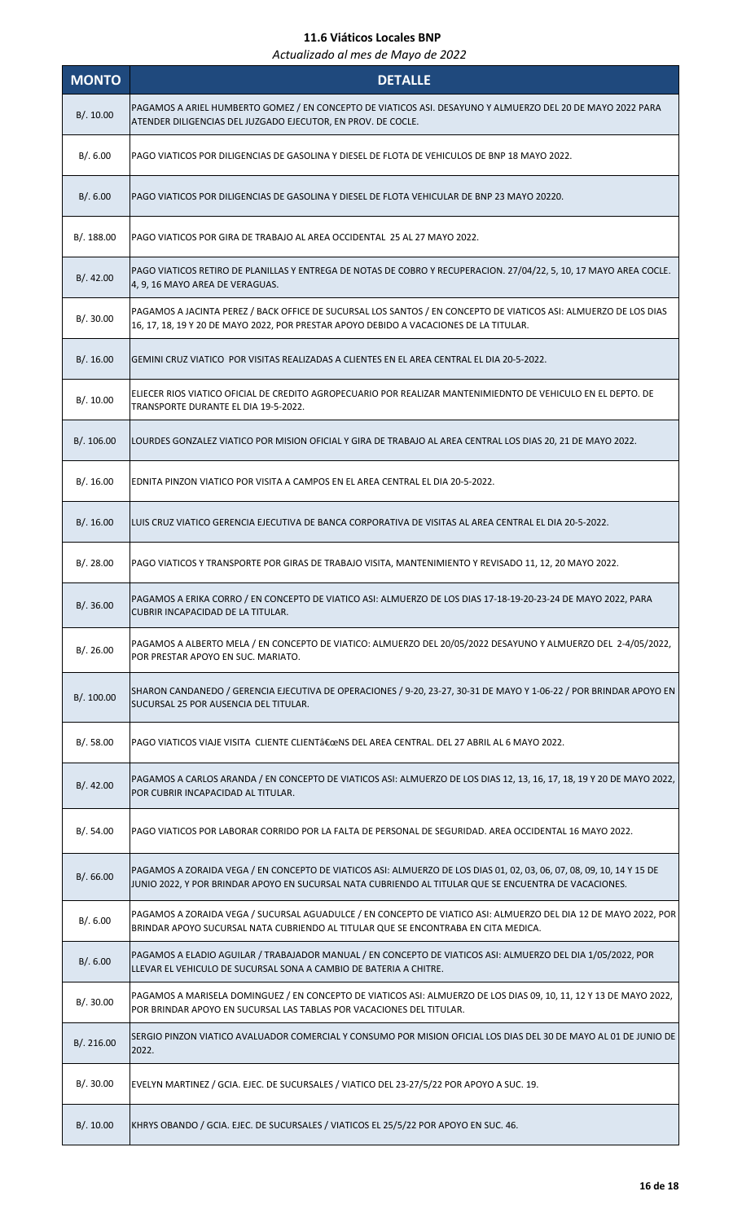| <b>MONTO</b> | <b>DETALLE</b>                                                                                                                                                                                                                 |
|--------------|--------------------------------------------------------------------------------------------------------------------------------------------------------------------------------------------------------------------------------|
| B/.10.00     | PAGAMOS A ARIEL HUMBERTO GOMEZ / EN CONCEPTO DE VIATICOS ASI. DESAYUNO Y ALMUERZO DEL 20 DE MAYO 2022 PARA<br>ATENDER DILIGENCIAS DEL JUZGADO EJECUTOR, EN PROV. DE COCLE.                                                     |
| B/.6.00      | PAGO VIATICOS POR DILIGENCIAS DE GASOLINA Y DIESEL DE FLOTA DE VEHICULOS DE BNP 18 MAYO 2022.                                                                                                                                  |
| B/.6.00      | PAGO VIATICOS POR DILIGENCIAS DE GASOLINA Y DIESEL DE FLOTA VEHICULAR DE BNP 23 MAYO 20220.                                                                                                                                    |
| B/. 188.00   | PAGO VIATICOS POR GIRA DE TRABAJO AL AREA OCCIDENTAL 25 AL 27 MAYO 2022.                                                                                                                                                       |
| B/.42.00     | PAGO VIATICOS RETIRO DE PLANILLAS Y ENTREGA DE NOTAS DE COBRO Y RECUPERACION. 27/04/22, 5, 10, 17 MAYO AREA COCLE.<br>4, 9, 16 MAYO AREA DE VERAGUAS.                                                                          |
| B/.30.00     | PAGAMOS A JACINTA PEREZ / BACK OFFICE DE SUCURSAL LOS SANTOS / EN CONCEPTO DE VIATICOS ASI: ALMUERZO DE LOS DIAS<br>16, 17, 18, 19 Y 20 DE MAYO 2022, POR PRESTAR APOYO DEBIDO A VACACIONES DE LA TITULAR.                     |
| B/.16.00     | GEMINI CRUZ VIATICO POR VISITAS REALIZADAS A CLIENTES EN EL AREA CENTRAL EL DIA 20-5-2022.                                                                                                                                     |
| B/. 10.00    | ELIECER RIOS VIATICO OFICIAL DE CREDITO AGROPECUARIO POR REALIZAR MANTENIMIEDNTO DE VEHICULO EN EL DEPTO. DE<br>TRANSPORTE DURANTE EL DIA 19-5-2022.                                                                           |
| B/. 106.00   | LOURDES GONZALEZ VIATICO POR MISION OFICIAL Y GIRA DE TRABAJO AL AREA CENTRAL LOS DIAS 20, 21 DE MAYO 2022.                                                                                                                    |
| B/.16.00     | EDNITA PINZON VIATICO POR VISITA A CAMPOS EN EL AREA CENTRAL EL DIA 20-5-2022.                                                                                                                                                 |
| B/.16.00     | LUIS CRUZ VIATICO GERENCIA EJECUTIVA DE BANCA CORPORATIVA DE VISITAS AL AREA CENTRAL EL DIA 20-5-2022.                                                                                                                         |
| B/.28.00     | PAGO VIATICOS Y TRANSPORTE POR GIRAS DE TRABAJO VISITA, MANTENIMIENTO Y REVISADO 11, 12, 20 MAYO 2022.                                                                                                                         |
| B/.36.00     | PAGAMOS A ERIKA CORRO / EN CONCEPTO DE VIATICO ASI: ALMUERZO DE LOS DIAS 17-18-19-20-23-24 DE MAYO 2022, PARA<br>CUBRIR INCAPACIDAD DE LA TITULAR.                                                                             |
| B/.26.00     | PAGAMOS A ALBERTO MELA / EN CONCEPTO DE VIATICO: ALMUERZO DEL 20/05/2022 DESAYUNO Y ALMUERZO DEL 2-4/05/2022,<br>POR PRESTAR APOYO EN SUC. MARIATO.                                                                            |
| B/. 100.00   | SHARON CANDANEDO / GERENCIA EJECUTIVA DE OPERACIONES / 9-20, 23-27, 30-31 DE MAYO Y 1-06-22 / POR BRINDAR APOYO EN<br>SUCURSAL 25 POR AUSENCIA DEL TITULAR.                                                                    |
| B/.58.00     | PAGO VIATICOS VIAJE VISITA CLIENTE CLIENT"NS DEL AREA CENTRAL. DEL 27 ABRIL AL 6 MAYO 2022.                                                                                                                                    |
| B/. 42.00    | PAGAMOS A CARLOS ARANDA / EN CONCEPTO DE VIATICOS ASI: ALMUERZO DE LOS DIAS 12, 13, 16, 17, 18, 19 Y 20 DE MAYO 2022,<br>POR CUBRIR INCAPACIDAD AL TITULAR.                                                                    |
| B/.54.00     | PAGO VIATICOS POR LABORAR CORRIDO POR LA FALTA DE PERSONAL DE SEGURIDAD. AREA OCCIDENTAL 16 MAYO 2022.                                                                                                                         |
| B/. 66.00    | PAGAMOS A ZORAIDA VEGA / EN CONCEPTO DE VIATICOS ASI: ALMUERZO DE LOS DIAS 01, 02, 03, 06, 07, 08, 09, 10, 14 Y 15 DE<br>JUNIO 2022, Y POR BRINDAR APOYO EN SUCURSAL NATA CUBRIENDO AL TITULAR QUE SE ENCUENTRA DE VACACIONES. |
| B/.6.00      | PAGAMOS A ZORAIDA VEGA / SUCURSAL AGUADULCE / EN CONCEPTO DE VIATICO ASI: ALMUERZO DEL DIA 12 DE MAYO 2022, POR<br>BRINDAR APOYO SUCURSAL NATA CUBRIENDO AL TITULAR QUE SE ENCONTRABA EN CITA MEDICA.                          |
| B/.6.00      | PAGAMOS A ELADIO AGUILAR / TRABAJADOR MANUAL / EN CONCEPTO DE VIATICOS ASI: ALMUERZO DEL DIA 1/05/2022, POR<br>LLEVAR EL VEHICULO DE SUCURSAL SONA A CAMBIO DE BATERIA A CHITRE.                                               |
| B/. 30.00    | PAGAMOS A MARISELA DOMINGUEZ / EN CONCEPTO DE VIATICOS ASI: ALMUERZO DE LOS DIAS 09, 10, 11, 12 Y 13 DE MAYO 2022,<br>POR BRINDAR APOYO EN SUCURSAL LAS TABLAS POR VACACIONES DEL TITULAR.                                     |
| B/.216.00    | SERGIO PINZON VIATICO AVALUADOR COMERCIAL Y CONSUMO POR MISION OFICIAL LOS DIAS DEL 30 DE MAYO AL 01 DE JUNIO DE<br>2022.                                                                                                      |
| B/.30.00     | EVELYN MARTINEZ / GCIA. EJEC. DE SUCURSALES / VIATICO DEL 23-27/5/22 POR APOYO A SUC. 19.                                                                                                                                      |
| B/.10.00     | KHRYS OBANDO / GCIA. EJEC. DE SUCURSALES / VIATICOS EL 25/5/22 POR APOYO EN SUC. 46.                                                                                                                                           |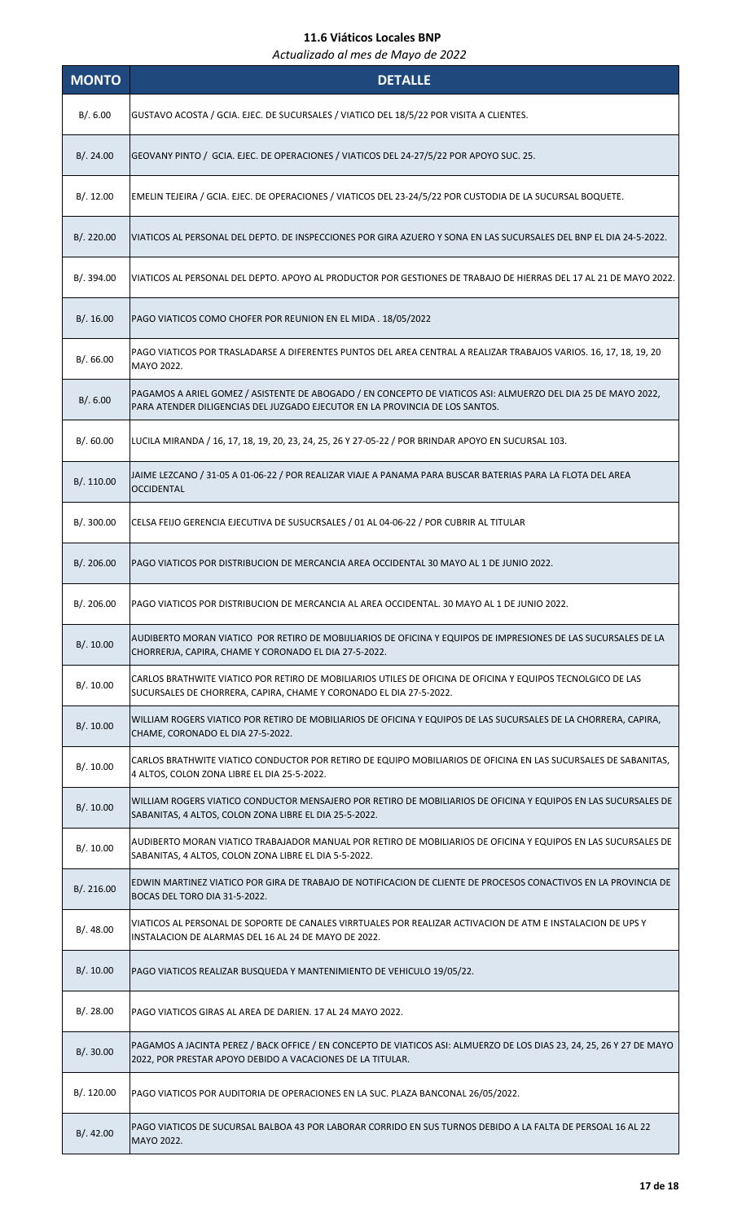| <b>MONTO</b> | <b>DETALLE</b>                                                                                                                                                                                |
|--------------|-----------------------------------------------------------------------------------------------------------------------------------------------------------------------------------------------|
| B/.6.00      | GUSTAVO ACOSTA / GCIA. EJEC. DE SUCURSALES / VIATICO DEL 18/5/22 POR VISITA A CLIENTES.                                                                                                       |
| B/.24.00     | GEOVANY PINTO / GCIA. EJEC. DE OPERACIONES / VIATICOS DEL 24-27/5/22 POR APOYO SUC. 25.                                                                                                       |
| B/.12.00     | EMELIN TEJEIRA / GCIA. EJEC. DE OPERACIONES / VIATICOS DEL 23-24/5/22 POR CUSTODIA DE LA SUCURSAL BOQUETE.                                                                                    |
| B/. 220.00   | VIATICOS AL PERSONAL DEL DEPTO. DE INSPECCIONES POR GIRA AZUERO Y SONA EN LAS SUCURSALES DEL BNP EL DIA 24-5-2022.                                                                            |
| B/. 394.00   | VIATICOS AL PERSONAL DEL DEPTO. APOYO AL PRODUCTOR POR GESTIONES DE TRABAJO DE HIERRAS DEL 17 AL 21 DE MAYO 2022.                                                                             |
| B/.16.00     | PAGO VIATICOS COMO CHOFER POR REUNION EN EL MIDA. 18/05/2022                                                                                                                                  |
| B/0.66.00    | PAGO VIATICOS POR TRASLADARSE A DIFERENTES PUNTOS DEL AREA CENTRAL A REALIZAR TRABAJOS VARIOS. 16, 17, 18, 19, 20<br>MAYO 2022.                                                               |
| B/.6.00      | PAGAMOS A ARIEL GOMEZ / ASISTENTE DE ABOGADO / EN CONCEPTO DE VIATICOS ASI: ALMUERZO DEL DIA 25 DE MAYO 2022,<br>PARA ATENDER DILIGENCIAS DEL JUZGADO EJECUTOR EN LA PROVINCIA DE LOS SANTOS. |
| B/.60.00     | LUCILA MIRANDA / 16, 17, 18, 19, 20, 23, 24, 25, 26 Y 27-05-22 / POR BRINDAR APOYO EN SUCURSAL 103.                                                                                           |
| B/. 110.00   | JAIME LEZCANO / 31-05 A 01-06-22 / POR REALIZAR VIAJE A PANAMA PARA BUSCAR BATERIAS PARA LA FLOTA DEL AREA<br><b>OCCIDENTAL</b>                                                               |
| B/. 300.00   | CELSA FEIJO GERENCIA EJECUTIVA DE SUSUCRSALES / 01 AL 04-06-22 / POR CUBRIR AL TITULAR                                                                                                        |
| B/. 206.00   | PAGO VIATICOS POR DISTRIBUCION DE MERCANCIA AREA OCCIDENTAL 30 MAYO AL 1 DE JUNIO 2022.                                                                                                       |
| B/.206.00    | PAGO VIATICOS POR DISTRIBUCION DE MERCANCIA AL AREA OCCIDENTAL. 30 MAYO AL 1 DE JUNIO 2022.                                                                                                   |
| B/.10.00     | AUDIBERTO MORAN VIATICO POR RETIRO DE MOBIJLIARIOS DE OFICINA Y EQUIPOS DE IMPRESIONES DE LAS SUCURSALES DE LA<br>CHORRERJA, CAPIRA, CHAME Y CORONADO EL DIA 27-5-2022.                       |
| B/.10.00     | CARLOS BRATHWITE VIATICO POR RETIRO DE MOBILIARIOS UTILES DE OFICINA DE OFICINA Y EQUIPOS TECNOLGICO DE LAS<br>SUCURSALES DE CHORRERA, CAPIRA, CHAME Y CORONADO EL DIA 27-5-2022.             |
| B/.10.00     | WILLIAM ROGERS VIATICO POR RETIRO DE MOBILIARIOS DE OFICINA Y EQUIPOS DE LAS SUCURSALES DE LA CHORRERA, CAPIRA,<br>CHAME, CORONADO EL DIA 27-5-2022.                                          |
| B/.10.00     | CARLOS BRATHWITE VIATICO CONDUCTOR POR RETIRO DE EQUIPO MOBILIARIOS DE OFICINA EN LAS SUCURSALES DE SABANITAS,<br>4 ALTOS, COLON ZONA LIBRE EL DIA 25-5-2022.                                 |
| B/.10.00     | WILLIAM ROGERS VIATICO CONDUCTOR MENSAJERO POR RETIRO DE MOBILIARIOS DE OFICINA Y EQUIPOS EN LAS SUCURSALES DE<br>SABANITAS, 4 ALTOS, COLON ZONA LIBRE EL DIA 25-5-2022.                      |
| B/.10.00     | AUDIBERTO MORAN VIATICO TRABAJADOR MANUAL POR RETIRO DE MOBILIARIOS DE OFICINA Y EQUIPOS EN LAS SUCURSALES DE<br>SABANITAS, 4 ALTOS, COLON ZONA LIBRE EL DIA 5-5-2022.                        |
| B/. 216.00   | EDWIN MARTINEZ VIATICO POR GIRA DE TRABAJO DE NOTIFICACION DE CLIENTE DE PROCESOS CONACTIVOS EN LA PROVINCIA DE<br>BOCAS DEL TORO DIA 31-5-2022.                                              |
| B/.48.00     | VIATICOS AL PERSONAL DE SOPORTE DE CANALES VIRRTUALES POR REALIZAR ACTIVACION DE ATM E INSTALACION DE UPS Y<br>INSTALACION DE ALARMAS DEL 16 AL 24 DE MAYO DE 2022.                           |
| B/.10.00     | PAGO VIATICOS REALIZAR BUSQUEDA Y MANTENIMIENTO DE VEHICULO 19/05/22.                                                                                                                         |
| B/.28.00     | PAGO VIATICOS GIRAS AL AREA DE DARIEN. 17 AL 24 MAYO 2022.                                                                                                                                    |
| B/.30.00     | PAGAMOS A JACINTA PEREZ / BACK OFFICE / EN CONCEPTO DE VIATICOS ASI: ALMUERZO DE LOS DIAS 23, 24, 25, 26 Y 27 DE MAYO<br>2022, POR PRESTAR APOYO DEBIDO A VACACIONES DE LA TITULAR.           |
| B/. 120.00   | PAGO VIATICOS POR AUDITORIA DE OPERACIONES EN LA SUC. PLAZA BANCONAL 26/05/2022.                                                                                                              |
| B/.42.00     | PAGO VIATICOS DE SUCURSAL BALBOA 43 POR LABORAR CORRIDO EN SUS TURNOS DEBIDO A LA FALTA DE PERSOAL 16 AL 22<br>MAYO 2022.                                                                     |